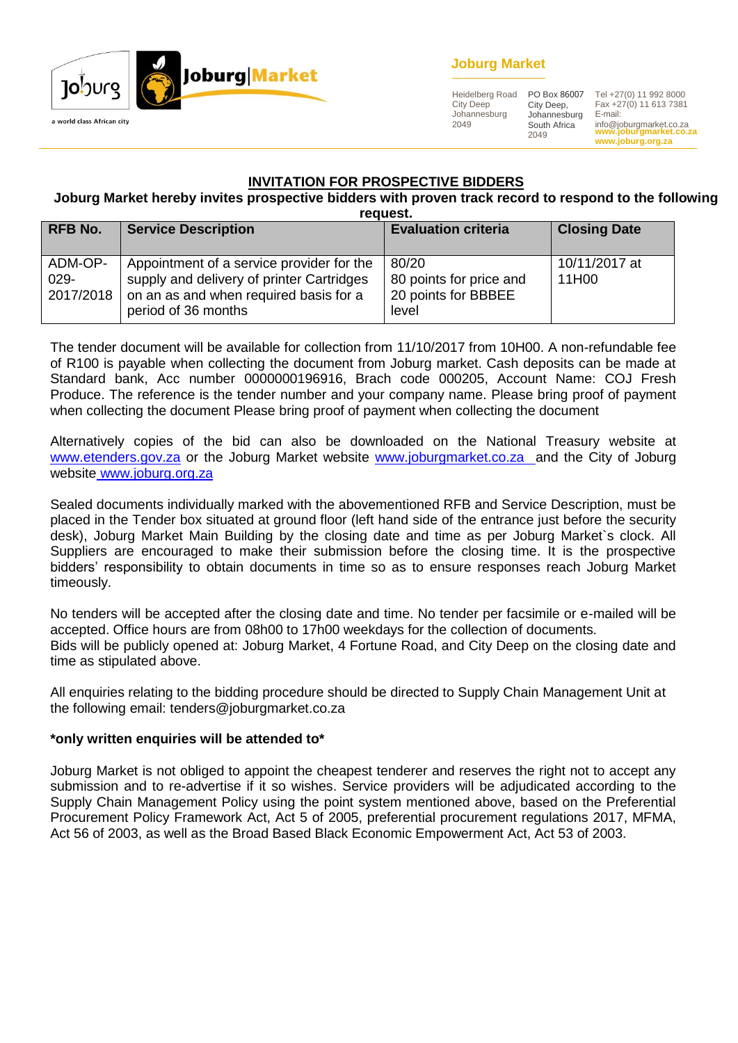

# **Joburg Market**

Heidelberg Road City Deep Johannesburg 2049

City Deep, Johannesburg South Africa 2049

**www.joburgmarket.co.za** info@joburgmarket.co.za **www.joburg.org.za** PO Box 86007 Tel +27(0) 11 992 8000 Fax +27(0) 11 613 7381 E-mail:

## **INVITATION FOR PROSPECTIVE BIDDERS**

#### **Joburg Market hereby invites prospective bidders with proven track record to respond to the following request.**

| rcuucsu.                        |                                                                                                                                                         |                                                                  |                        |  |
|---------------------------------|---------------------------------------------------------------------------------------------------------------------------------------------------------|------------------------------------------------------------------|------------------------|--|
| <b>RFB No.</b>                  | <b>Service Description</b>                                                                                                                              | <b>Evaluation criteria</b>                                       | <b>Closing Date</b>    |  |
| ADM-OP-<br>$029 -$<br>2017/2018 | Appointment of a service provider for the<br>supply and delivery of printer Cartridges<br>on an as and when required basis for a<br>period of 36 months | 80/20<br>80 points for price and<br>20 points for BBBEE<br>level | 10/11/2017 at<br>11H00 |  |

The tender document will be available for collection from 11/10/2017 from 10H00. A non-refundable fee of R100 is payable when collecting the document from Joburg market. Cash deposits can be made at Standard bank, Acc number 0000000196916, Brach code 000205, Account Name: COJ Fresh Produce. The reference is the tender number and your company name. Please bring proof of payment when collecting the document Please bring proof of payment when collecting the document

Alternatively copies of the bid can also be downloaded on the National Treasury website at [www.etenders.gov.za](http://www.etenders.gov.za/) or the Joburg Market website [www.joburgmarket.co.za](http://www.joburgmarket.co.za/) and the City of Joburg website [www.joburg.org.za](http://www.joburg.org.za/)

Sealed documents individually marked with the abovementioned RFB and Service Description, must be placed in the Tender box situated at ground floor (left hand side of the entrance just before the security desk), Joburg Market Main Building by the closing date and time as per Joburg Market`s clock. All Suppliers are encouraged to make their submission before the closing time. It is the prospective bidders' responsibility to obtain documents in time so as to ensure responses reach Joburg Market timeously.

No tenders will be accepted after the closing date and time. No tender per facsimile or e-mailed will be accepted. Office hours are from 08h00 to 17h00 weekdays for the collection of documents. Bids will be publicly opened at: Joburg Market, 4 Fortune Road, and City Deep on the closing date and time as stipulated above.

All enquiries relating to the bidding procedure should be directed to Supply Chain Management Unit at the following email: tenders@joburgmarket.co.za

### **\*only written enquiries will be attended to\***

Joburg Market is not obliged to appoint the cheapest tenderer and reserves the right not to accept any submission and to re-advertise if it so wishes. Service providers will be adjudicated according to the Supply Chain Management Policy using the point system mentioned above, based on the Preferential Procurement Policy Framework Act, Act 5 of 2005, preferential procurement regulations 2017, MFMA, Act 56 of 2003, as well as the Broad Based Black Economic Empowerment Act, Act 53 of 2003.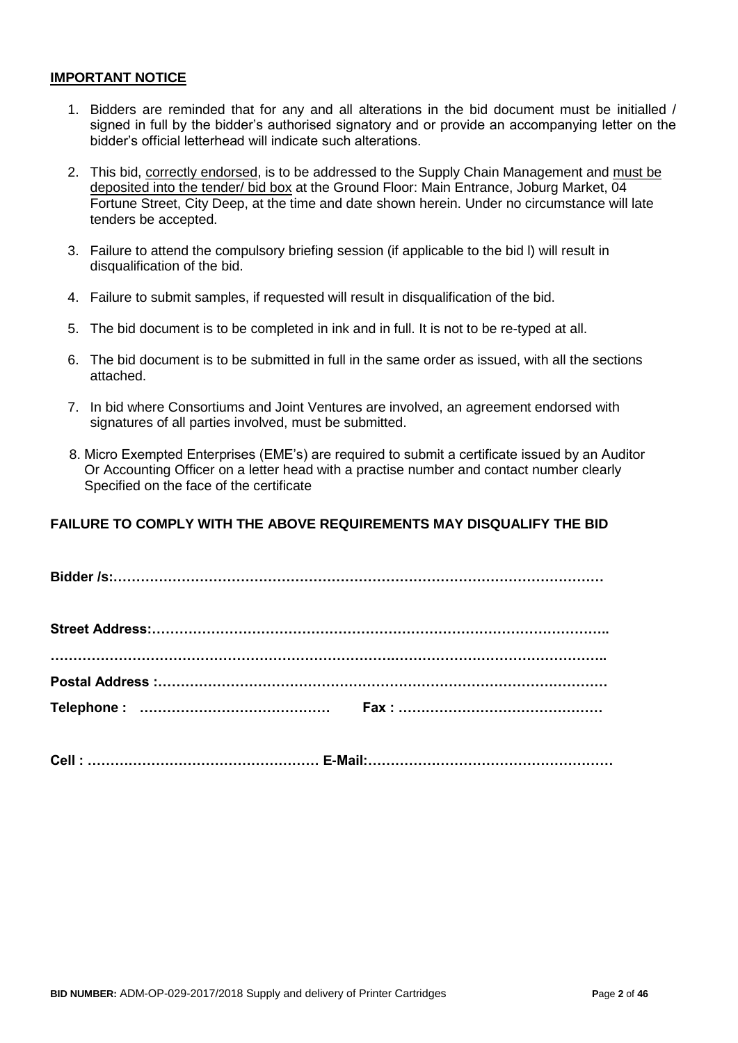#### **IMPORTANT NOTICE**

- 1. Bidders are reminded that for any and all alterations in the bid document must be initialled / signed in full by the bidder's authorised signatory and or provide an accompanying letter on the bidder's official letterhead will indicate such alterations.
- 2. This bid, correctly endorsed, is to be addressed to the Supply Chain Management and must be deposited into the tender/ bid box at the Ground Floor: Main Entrance, Joburg Market, 04 Fortune Street, City Deep, at the time and date shown herein. Under no circumstance will late tenders be accepted.
- 3. Failure to attend the compulsory briefing session (if applicable to the bid l) will result in disqualification of the bid.
- 4. Failure to submit samples, if requested will result in disqualification of the bid.
- 5. The bid document is to be completed in ink and in full. It is not to be re-typed at all.
- 6. The bid document is to be submitted in full in the same order as issued, with all the sections attached.
- 7. In bid where Consortiums and Joint Ventures are involved, an agreement endorsed with signatures of all parties involved, must be submitted.
- 8. Micro Exempted Enterprises (EME's) are required to submit a certificate issued by an Auditor Or Accounting Officer on a letter head with a practise number and contact number clearly Specified on the face of the certificate

# **FAILURE TO COMPLY WITH THE ABOVE REQUIREMENTS MAY DISQUALIFY THE BID**

**Cell : …………………………………………… E-Mail:………………………………………………**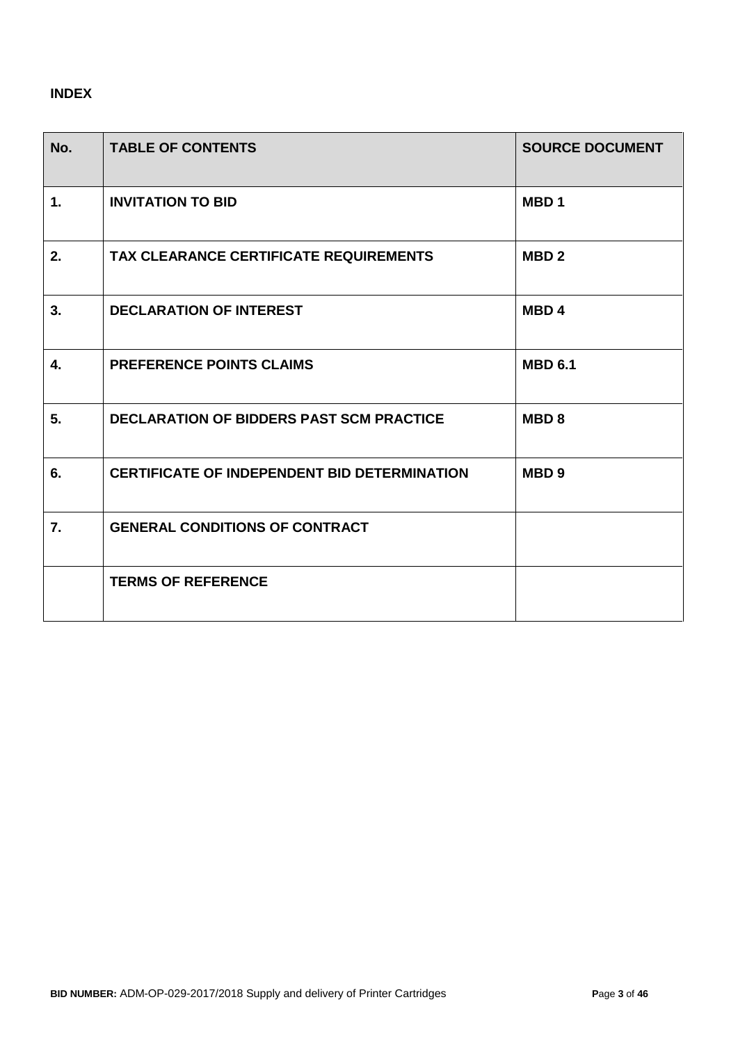# **INDEX**

| No. | <b>TABLE OF CONTENTS</b>                            | <b>SOURCE DOCUMENT</b> |
|-----|-----------------------------------------------------|------------------------|
| 1.  | <b>INVITATION TO BID</b>                            | MBD <sub>1</sub>       |
| 2.  | <b>TAX CLEARANCE CERTIFICATE REQUIREMENTS</b>       | MBD <sub>2</sub>       |
| 3.  | <b>DECLARATION OF INTEREST</b>                      | MBD <sub>4</sub>       |
| 4.  | <b>PREFERENCE POINTS CLAIMS</b>                     | <b>MBD 6.1</b>         |
| 5.  | <b>DECLARATION OF BIDDERS PAST SCM PRACTICE</b>     | <b>MBD8</b>            |
| 6.  | <b>CERTIFICATE OF INDEPENDENT BID DETERMINATION</b> | MBD <sub>9</sub>       |
| 7.  | <b>GENERAL CONDITIONS OF CONTRACT</b>               |                        |
|     | <b>TERMS OF REFERENCE</b>                           |                        |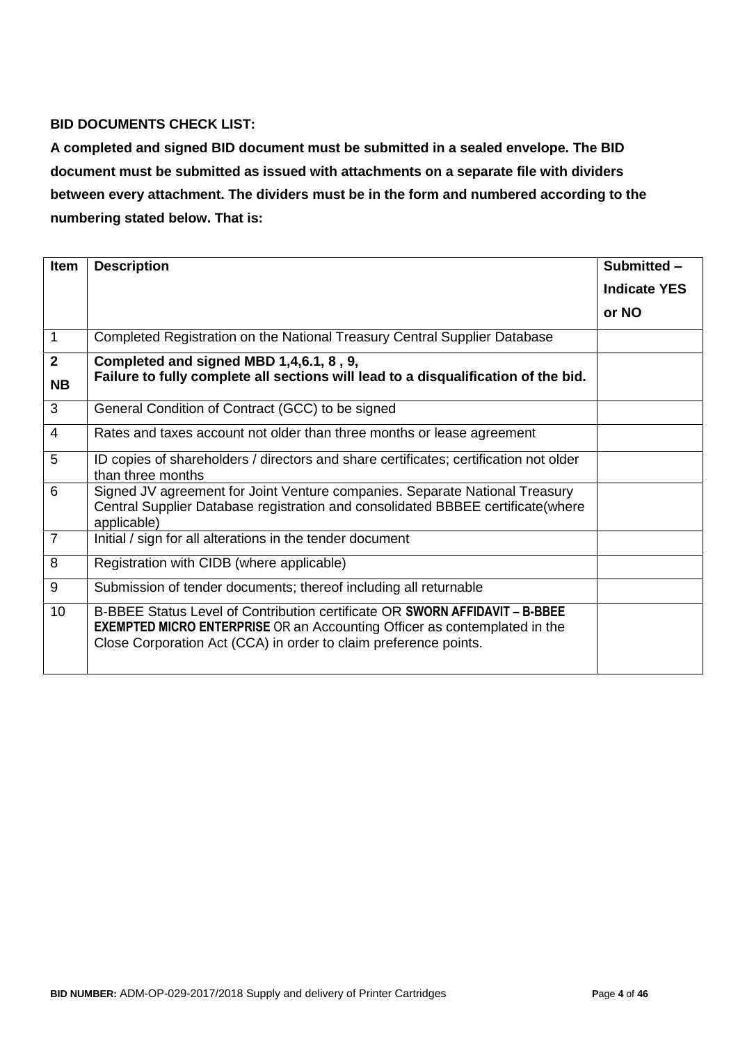# **BID DOCUMENTS CHECK LIST:**

**A completed and signed BID document must be submitted in a sealed envelope. The BID document must be submitted as issued with attachments on a separate file with dividers between every attachment. The dividers must be in the form and numbered according to the numbering stated below. That is:**

| <b>Item</b>     | <b>Description</b>                                                                                                                                                                                                                  | Submitted -         |
|-----------------|-------------------------------------------------------------------------------------------------------------------------------------------------------------------------------------------------------------------------------------|---------------------|
|                 |                                                                                                                                                                                                                                     | <b>Indicate YES</b> |
|                 |                                                                                                                                                                                                                                     | or NO               |
| $\mathbf{1}$    | Completed Registration on the National Treasury Central Supplier Database                                                                                                                                                           |                     |
| $\overline{2}$  | Completed and signed MBD 1,4,6.1, 8, 9,                                                                                                                                                                                             |                     |
| <b>NB</b>       | Failure to fully complete all sections will lead to a disqualification of the bid.                                                                                                                                                  |                     |
| 3               | General Condition of Contract (GCC) to be signed                                                                                                                                                                                    |                     |
| $\overline{4}$  | Rates and taxes account not older than three months or lease agreement                                                                                                                                                              |                     |
| 5               | ID copies of shareholders / directors and share certificates; certification not older<br>than three months                                                                                                                          |                     |
| 6               | Signed JV agreement for Joint Venture companies. Separate National Treasury<br>Central Supplier Database registration and consolidated BBBEE certificate(where<br>applicable)                                                       |                     |
| $\overline{7}$  | Initial / sign for all alterations in the tender document                                                                                                                                                                           |                     |
| 8               | Registration with CIDB (where applicable)                                                                                                                                                                                           |                     |
| 9               | Submission of tender documents; thereof including all returnable                                                                                                                                                                    |                     |
| 10 <sup>1</sup> | B-BBEE Status Level of Contribution certificate OR SWORN AFFIDAVIT - B-BBEE<br><b>EXEMPTED MICRO ENTERPRISE</b> OR an Accounting Officer as contemplated in the<br>Close Corporation Act (CCA) in order to claim preference points. |                     |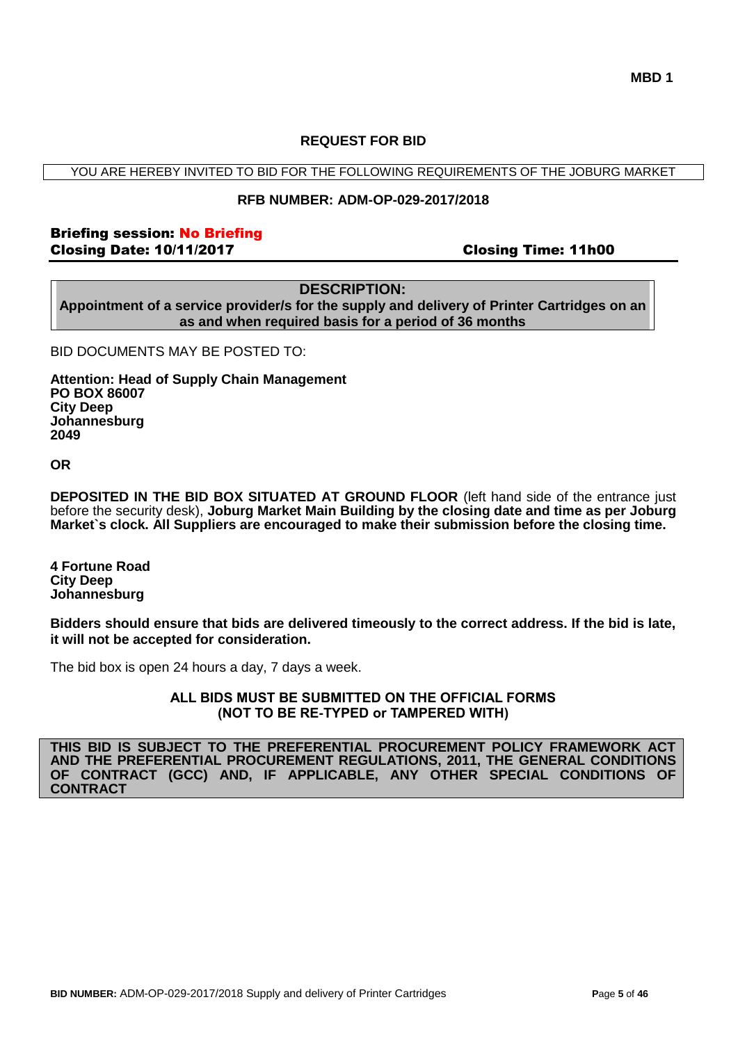#### **REQUEST FOR BID**

YOU ARE HEREBY INVITED TO BID FOR THE FOLLOWING REQUIREMENTS OF THE JOBURG MARKET

#### **RFB NUMBER: ADM-OP-029-2017/2018**

#### Briefing session: No Briefing Closing Date: 10/11/2017 Closing Time: 11h00

#### **DESCRIPTION:**

**Appointment of a service provider/s for the supply and delivery of Printer Cartridges on an as and when required basis for a period of 36 months** 

BID DOCUMENTS MAY BE POSTED TO:

**Attention: Head of Supply Chain Management PO BOX 86007 City Deep Johannesburg 2049**

#### **OR**

**DEPOSITED IN THE BID BOX SITUATED AT GROUND FLOOR** (left hand side of the entrance just before the security desk), **Joburg Market Main Building by the closing date and time as per Joburg Market`s clock. All Suppliers are encouraged to make their submission before the closing time.**

**4 Fortune Road City Deep Johannesburg** 

**Bidders should ensure that bids are delivered timeously to the correct address. If the bid is late, it will not be accepted for consideration.**

The bid box is open 24 hours a day, 7 days a week.

**ALL BIDS MUST BE SUBMITTED ON THE OFFICIAL FORMS (NOT TO BE RE-TYPED or TAMPERED WITH)**

**THIS BID IS SUBJECT TO THE PREFERENTIAL PROCUREMENT POLICY FRAMEWORK ACT AND THE PREFERENTIAL PROCUREMENT REGULATIONS, 2011, THE GENERAL CONDITIONS OF CONTRACT (GCC) AND, IF APPLICABLE, ANY OTHER SPECIAL CONDITIONS OF CONTRACT**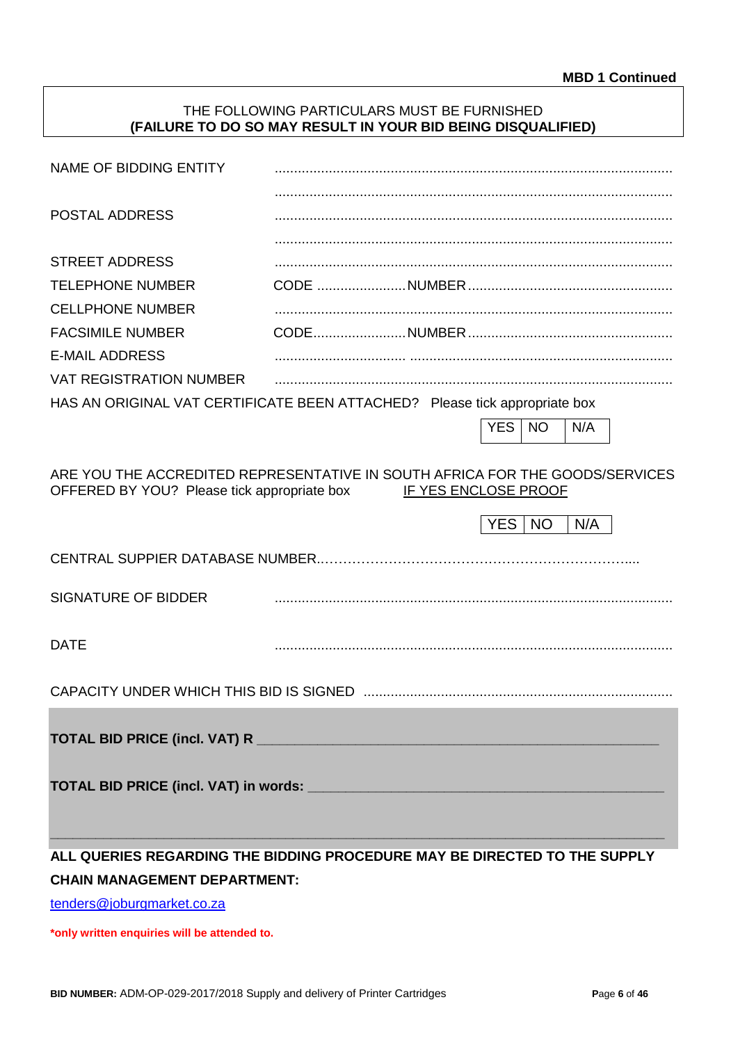### THE FOLLOWING PARTICULARS MUST BE FURNISHED **(FAILURE TO DO SO MAY RESULT IN YOUR BID BEING DISQUALIFIED)**

| NAME OF BIDDING ENTITY                                                                                                      |                      |            |           |     |  |
|-----------------------------------------------------------------------------------------------------------------------------|----------------------|------------|-----------|-----|--|
|                                                                                                                             |                      |            |           |     |  |
| <b>POSTAL ADDRESS</b>                                                                                                       |                      |            |           |     |  |
| <b>STREET ADDRESS</b>                                                                                                       |                      |            |           |     |  |
| <b>TELEPHONE NUMBER</b>                                                                                                     |                      |            |           |     |  |
| <b>CELLPHONE NUMBER</b>                                                                                                     |                      |            |           |     |  |
| <b>FACSIMILE NUMBER</b>                                                                                                     |                      |            |           |     |  |
| <b>E-MAIL ADDRESS</b>                                                                                                       |                      |            |           |     |  |
| <b>VAT REGISTRATION NUMBER</b>                                                                                              |                      |            |           |     |  |
| HAS AN ORIGINAL VAT CERTIFICATE BEEN ATTACHED? Please tick appropriate box                                                  |                      |            |           |     |  |
|                                                                                                                             |                      | <b>YES</b> | <b>NO</b> | N/A |  |
|                                                                                                                             |                      |            |           |     |  |
| ARE YOU THE ACCREDITED REPRESENTATIVE IN SOUTH AFRICA FOR THE GOODS/SERVICES<br>OFFERED BY YOU? Please tick appropriate box | IF YES ENCLOSE PROOF |            |           |     |  |
|                                                                                                                             |                      | <b>YES</b> | <b>NO</b> | N/A |  |
| CENTRAL SUPPIER DATABASE NUMBER                                                                                             |                      |            |           |     |  |
| <b>SIGNATURE OF BIDDER</b>                                                                                                  |                      |            |           |     |  |
| <b>DATE</b>                                                                                                                 |                      |            |           |     |  |
|                                                                                                                             |                      |            |           |     |  |
|                                                                                                                             |                      |            |           |     |  |
|                                                                                                                             |                      |            |           |     |  |
| ALL QUERIES REGARDING THE BIDDING PROCEDURE MAY BE DIRECTED TO THE SUPPLY                                                   |                      |            |           |     |  |
| <b>CHAIN MANAGEMENT DEPARTMENT:</b>                                                                                         |                      |            |           |     |  |

[tenders@joburgmarket.co.za](mailto:tenders@joburgmarket.co.za)

**\*only written enquiries will be attended to.**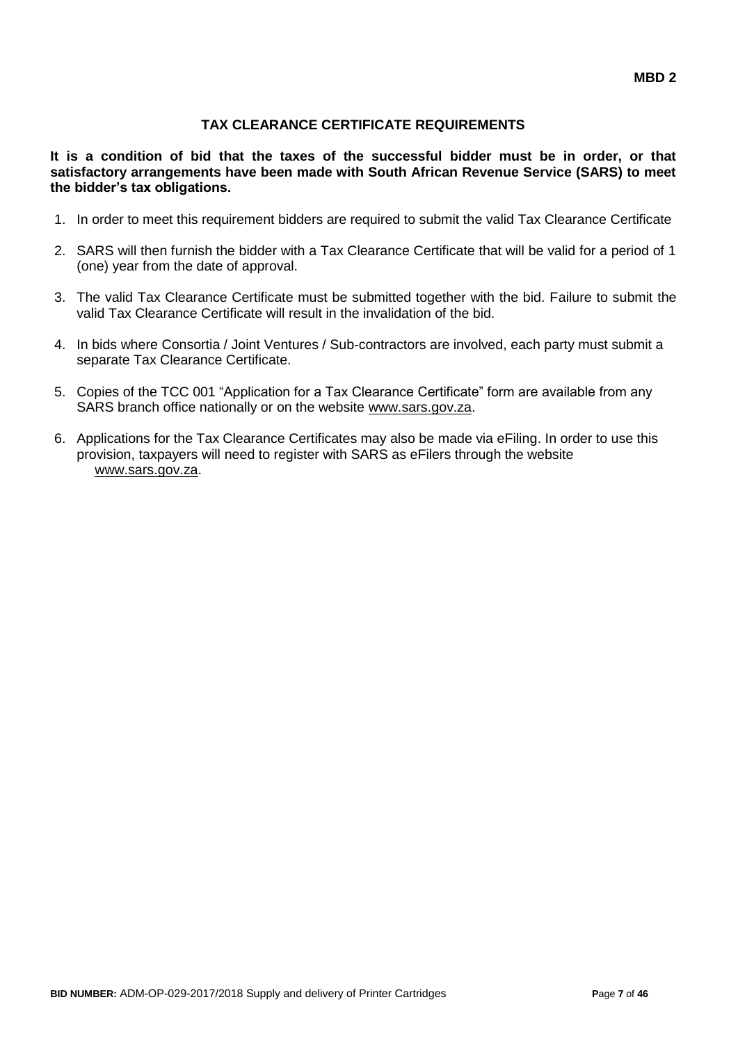# **TAX CLEARANCE CERTIFICATE REQUIREMENTS**

**It is a condition of bid that the taxes of the successful bidder must be in order, or that satisfactory arrangements have been made with South African Revenue Service (SARS) to meet the bidder's tax obligations.**

- 1. In order to meet this requirement bidders are required to submit the valid Tax Clearance Certificate
- 2. SARS will then furnish the bidder with a Tax Clearance Certificate that will be valid for a period of 1 (one) year from the date of approval.
- 3. The valid Tax Clearance Certificate must be submitted together with the bid. Failure to submit the valid Tax Clearance Certificate will result in the invalidation of the bid.
- 4. In bids where Consortia / Joint Ventures / Sub-contractors are involved, each party must submit a separate Tax Clearance Certificate.
- 5. Copies of the TCC 001 "Application for a Tax Clearance Certificate" form are available from any SARS branch office nationally or on the website [www.sars.gov.za.](http://www.sars.gov.za/)
- 6. Applications for the Tax Clearance Certificates may also be made via eFiling. In order to use this provision, taxpayers will need to register with SARS as eFilers through the website [www.sars.gov.za.](http://www.sars.gov.za/)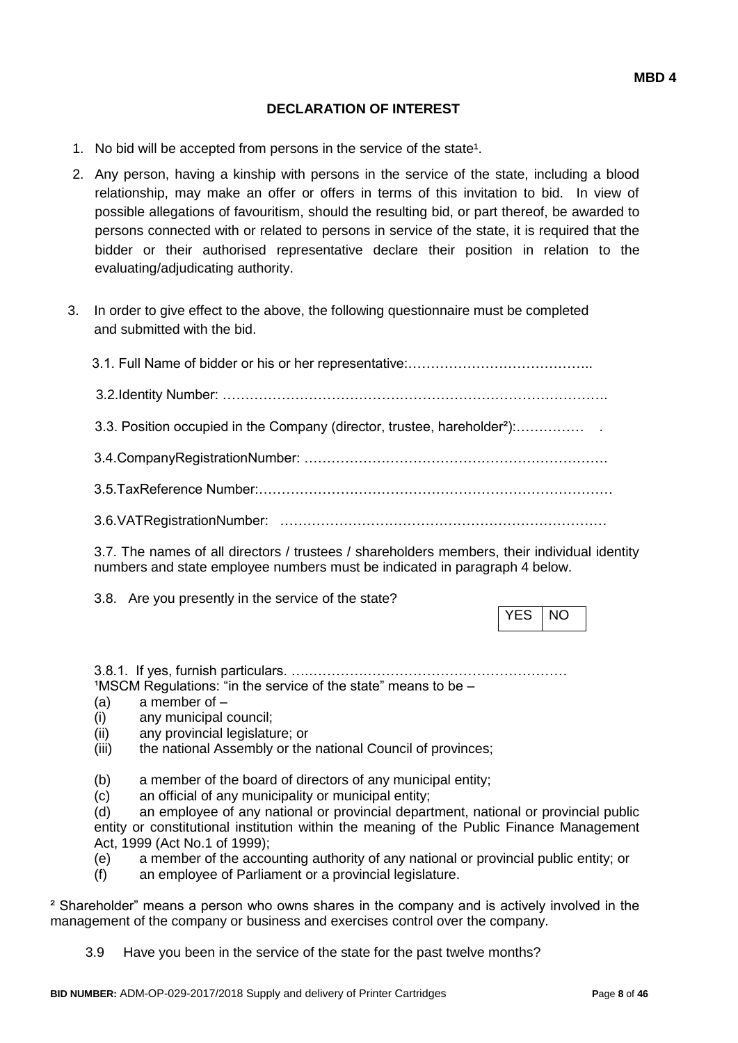### **DECLARATION OF INTEREST**

- 1. No bid will be accepted from persons in the service of the state<sup>1</sup>.
- 2. Any person, having a kinship with persons in the service of the state, including a blood relationship, may make an offer or offers in terms of this invitation to bid. In view of possible allegations of favouritism, should the resulting bid, or part thereof, be awarded to persons connected with or related to persons in service of the state, it is required that the bidder or their authorised representative declare their position in relation to the evaluating/adjudicating authority.
- 3. In order to give effect to the above, the following questionnaire must be completed and submitted with the bid.

| 3.3. Position occupied in the Company (director, trustee, hareholder <sup>2</sup> ): |
|--------------------------------------------------------------------------------------|
|                                                                                      |
|                                                                                      |
|                                                                                      |
|                                                                                      |

3.7. The names of all directors / trustees / shareholders members, their individual identity numbers and state employee numbers must be indicated in paragraph 4 below.

3.8. Are you presently in the service of the state?

3.8.1. If yes, furnish particulars. ….…………………………………………………  $1$ MSCM Regulations: "in the service of the state" means to be  $-$ 

- (a) a member of –
- (i) any municipal council;
- (ii) any provincial legislature; or
- (iii) the national Assembly or the national Council of provinces;
- (b) a member of the board of directors of any municipal entity;
- (c) an official of any municipality or municipal entity;

(d) an employee of any national or provincial department, national or provincial public entity or constitutional institution within the meaning of the Public Finance Management Act, 1999 (Act No.1 of 1999);

- (e) a member of the accounting authority of any national or provincial public entity; or
- (f) an employee of Parliament or a provincial legislature.

² Shareholder" means a person who owns shares in the company and is actively involved in the management of the company or business and exercises control over the company.

3.9 Have you been in the service of the state for the past twelve months?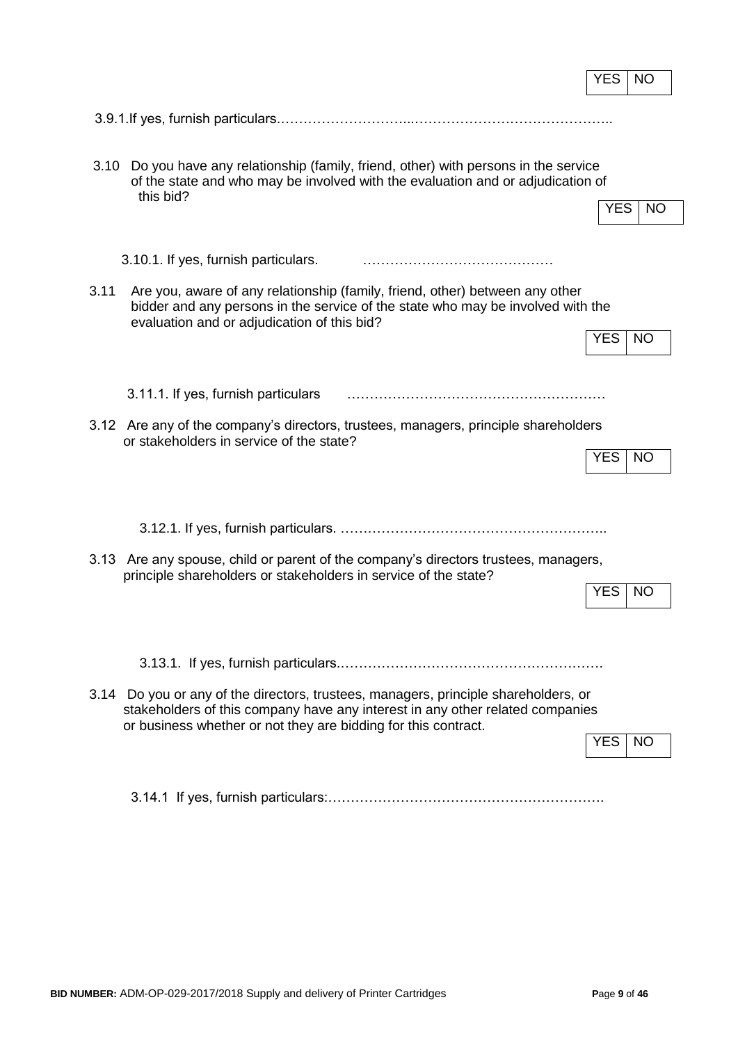|      |                                                                                                                                                                                                                                        | YES        | NO        |
|------|----------------------------------------------------------------------------------------------------------------------------------------------------------------------------------------------------------------------------------------|------------|-----------|
|      |                                                                                                                                                                                                                                        |            |           |
| 3.10 | Do you have any relationship (family, friend, other) with persons in the service<br>of the state and who may be involved with the evaluation and or adjudication of<br>this bid?                                                       | <b>YES</b> | <b>NO</b> |
|      | 3.10.1. If yes, furnish particulars.                                                                                                                                                                                                   |            |           |
| 3.11 | Are you, aware of any relationship (family, friend, other) between any other<br>bidder and any persons in the service of the state who may be involved with the<br>evaluation and or adjudication of this bid?                         |            |           |
|      |                                                                                                                                                                                                                                        | <b>YES</b> | <b>NO</b> |
|      | 3.11.1. If yes, furnish particulars                                                                                                                                                                                                    |            |           |
|      | 3.12 Are any of the company's directors, trustees, managers, principle shareholders<br>or stakeholders in service of the state?                                                                                                        | <b>YES</b> | <b>NO</b> |
|      |                                                                                                                                                                                                                                        |            |           |
|      | 3.13 Are any spouse, child or parent of the company's directors trustees, managers,<br>principle shareholders or stakeholders in service of the state?                                                                                 | <b>YES</b> | <b>NO</b> |
|      | 3.14 Do you or any of the directors, trustees, managers, principle shareholders, or<br>stakeholders of this company have any interest in any other related companies<br>or business whether or not they are bidding for this contract. | <b>YES</b> | NO.       |
|      |                                                                                                                                                                                                                                        |            |           |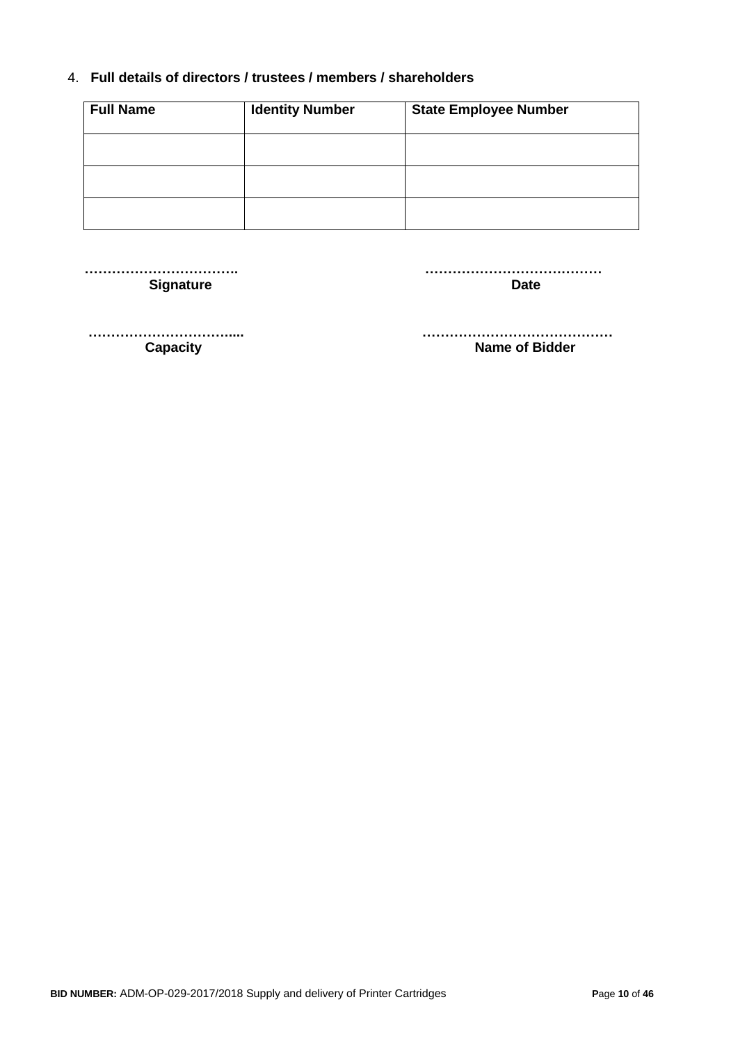### 4. **Full details of directors / trustees / members / shareholders**

| <b>Full Name</b> | <b>Identity Number</b> | <b>State Employee Number</b> |
|------------------|------------------------|------------------------------|
|                  |                        |                              |
|                  |                        |                              |
|                  |                        |                              |

**Signature Date** 

 **……………………………. …………………………………**

 **…………………………..... …………………………………… Capacity Capacity Name of Bidder**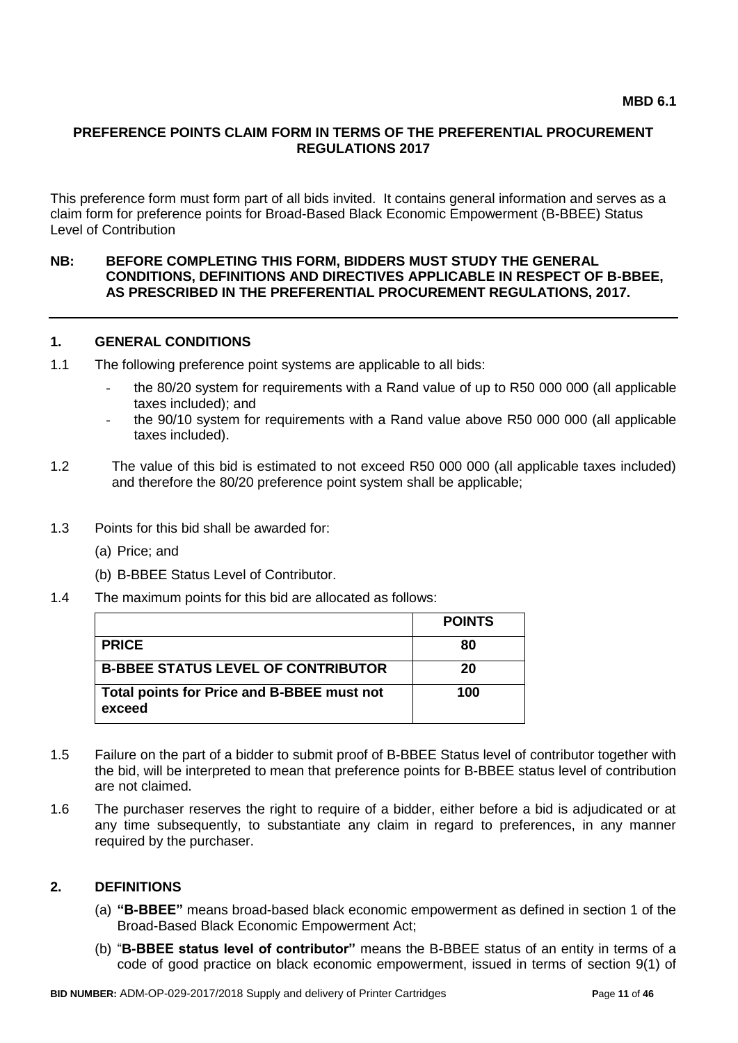#### **PREFERENCE POINTS CLAIM FORM IN TERMS OF THE PREFERENTIAL PROCUREMENT REGULATIONS 2017**

This preference form must form part of all bids invited. It contains general information and serves as a claim form for preference points for Broad-Based Black Economic Empowerment (B-BBEE) Status Level of Contribution

#### **NB: BEFORE COMPLETING THIS FORM, BIDDERS MUST STUDY THE GENERAL CONDITIONS, DEFINITIONS AND DIRECTIVES APPLICABLE IN RESPECT OF B-BBEE, AS PRESCRIBED IN THE PREFERENTIAL PROCUREMENT REGULATIONS, 2017.**

#### **1. GENERAL CONDITIONS**

- 1.1 The following preference point systems are applicable to all bids:
	- the 80/20 system for requirements with a Rand value of up to R50 000 000 (all applicable taxes included); and
	- the 90/10 system for requirements with a Rand value above R50 000 000 (all applicable taxes included).
- 1.2 The value of this bid is estimated to not exceed R50 000 000 (all applicable taxes included) and therefore the 80/20 preference point system shall be applicable;
- 1.3 Points for this bid shall be awarded for:
	- (a) Price; and
	- (b) B-BBEE Status Level of Contributor.
- 1.4 The maximum points for this bid are allocated as follows:

|                                                      | <b>POINTS</b> |
|------------------------------------------------------|---------------|
| <b>PRICE</b>                                         | 80            |
| <b>B-BBEE STATUS LEVEL OF CONTRIBUTOR</b>            | 20            |
| Total points for Price and B-BBEE must not<br>exceed | 100           |

- 1.5 Failure on the part of a bidder to submit proof of B-BBEE Status level of contributor together with the bid, will be interpreted to mean that preference points for B-BBEE status level of contribution are not claimed.
- 1.6 The purchaser reserves the right to require of a bidder, either before a bid is adjudicated or at any time subsequently, to substantiate any claim in regard to preferences, in any manner required by the purchaser.

#### **2. DEFINITIONS**

- (a) **"B-BBEE"** means broad-based black economic empowerment as defined in section 1 of the Broad-Based Black Economic Empowerment Act;
- (b) "**B-BBEE status level of contributor"** means the B-BBEE status of an entity in terms of a code of good practice on black economic empowerment, issued in terms of section 9(1) of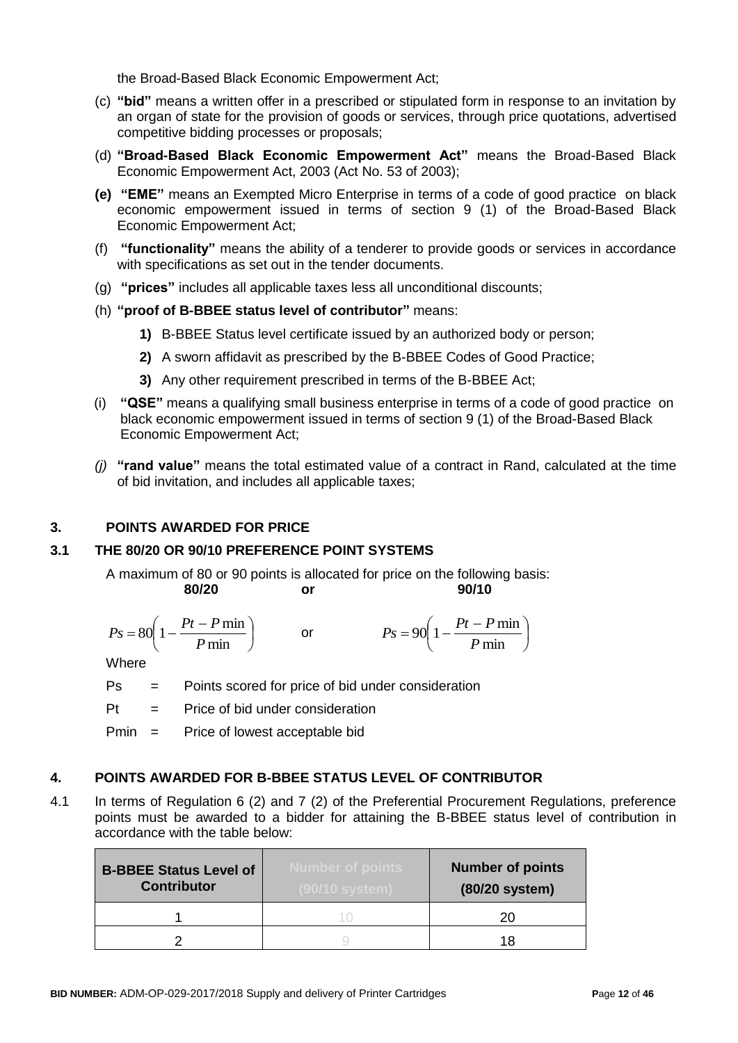the Broad-Based Black Economic Empowerment Act;

- (c) **"bid"** means a written offer in a prescribed or stipulated form in response to an invitation by an organ of state for the provision of goods or services, through price quotations, advertised competitive bidding processes or proposals;
- (d) **"Broad-Based Black Economic Empowerment Act"** means the Broad-Based Black Economic Empowerment Act, 2003 (Act No. 53 of 2003);
- **(e) "EME"** means an Exempted Micro Enterprise in terms of a code of good practice on black economic empowerment issued in terms of section 9 (1) of the Broad-Based Black Economic Empowerment Act;
- (f) **"functionality"** means the ability of a tenderer to provide goods or services in accordance with specifications as set out in the tender documents.
- (g) **"prices"** includes all applicable taxes less all unconditional discounts;
- (h) **"proof of B-BBEE status level of contributor"** means:
	- **1)** B-BBEE Status level certificate issued by an authorized body or person;
	- **2)** A sworn affidavit as prescribed by the B-BBEE Codes of Good Practice;
	- **3)** Any other requirement prescribed in terms of the B-BBEE Act;
- (i) **"QSE"** means a qualifying small business enterprise in terms of a code of good practice on black economic empowerment issued in terms of section 9 (1) of the Broad-Based Black Economic Empowerment Act;
- *(j)* **"rand value"** means the total estimated value of a contract in Rand, calculated at the time of bid invitation, and includes all applicable taxes;

### **3. POINTS AWARDED FOR PRICE**

### **3.1 THE 80/20 OR 90/10 PREFERENCE POINT SYSTEMS**

A maximum of 80 or 90 points is allocated for price on the following basis:<br>**80/20** or **90/10 80/20 or 90/10**

$$
Ps = 80\left(1 - \frac{Pt - P \min P}{ \min}\right) \qquad \text{or} \qquad \qquad Ps = 90\left(1 - \frac{Pt - P \min P}{ \min}\right)
$$

**Where** 

- Ps = Points scored for price of bid under consideration
- $Pt =$  Price of bid under consideration

Pmin = Price of lowest acceptable bid

### **4. POINTS AWARDED FOR B-BBEE STATUS LEVEL OF CONTRIBUTOR**

4.1 In terms of Regulation 6 (2) and 7 (2) of the Preferential Procurement Regulations, preference points must be awarded to a bidder for attaining the B-BBEE status level of contribution in accordance with the table below:

| <b>B-BBEE Status Level of</b><br><b>Contributor</b> | <b>Number of points</b><br>(90/10 svstem) | <b>Number of points</b><br>(80/20 system) |
|-----------------------------------------------------|-------------------------------------------|-------------------------------------------|
|                                                     |                                           | 20                                        |
|                                                     |                                           |                                           |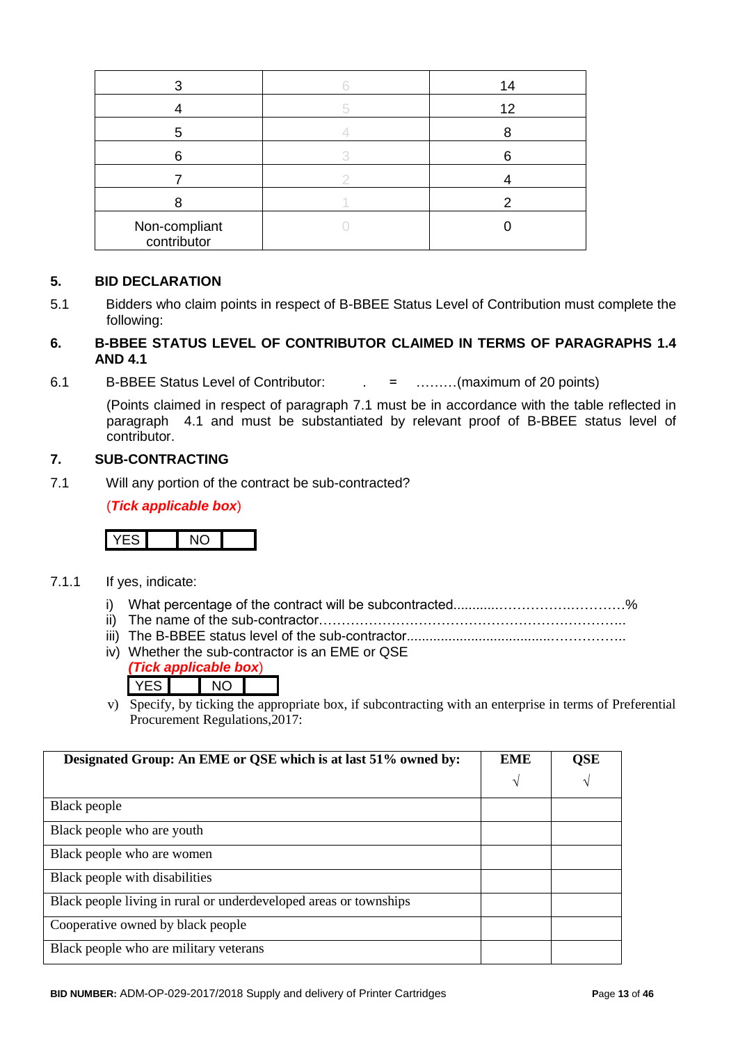|                              | 14 |
|------------------------------|----|
|                              | 12 |
|                              |    |
| հ                            |    |
|                              |    |
|                              |    |
| Non-compliant<br>contributor |    |

#### **5. BID DECLARATION**

5.1 Bidders who claim points in respect of B-BBEE Status Level of Contribution must complete the following:

### **6. B-BBEE STATUS LEVEL OF CONTRIBUTOR CLAIMED IN TERMS OF PARAGRAPHS 1.4 AND 4.1**

6.1 B-BBEE Status Level of Contributor: . = ………(maximum of 20 points)

(Points claimed in respect of paragraph 7.1 must be in accordance with the table reflected in paragraph 4.1 and must be substantiated by relevant proof of B-BBEE status level of contributor.

### **7. SUB-CONTRACTING**

7.1 Will any portion of the contract be sub-contracted?

(*Tick applicable box*)



- 7.1.1 If yes, indicate:
	- i) What percentage of the contract will be subcontracted............…………….…………%
	- ii) The name of the sub-contractor…………………………………………………………..
	- iii) The B-BBEE status level of the sub-contractor......................................……………..
	- iv) Whether the sub-contractor is an EME or QSE
		- *(Tick applicable box*) YES NO
	- v) Specify, by ticking the appropriate box, if subcontracting with an enterprise in terms of Preferential Procurement Regulations,2017:

| Designated Group: An EME or QSE which is at last 51% owned by:    |   | <b>QSE</b> |
|-------------------------------------------------------------------|---|------------|
|                                                                   | V | $\sqrt{ }$ |
| Black people                                                      |   |            |
| Black people who are youth                                        |   |            |
| Black people who are women                                        |   |            |
| Black people with disabilities                                    |   |            |
| Black people living in rural or underdeveloped areas or townships |   |            |
| Cooperative owned by black people                                 |   |            |
| Black people who are military veterans                            |   |            |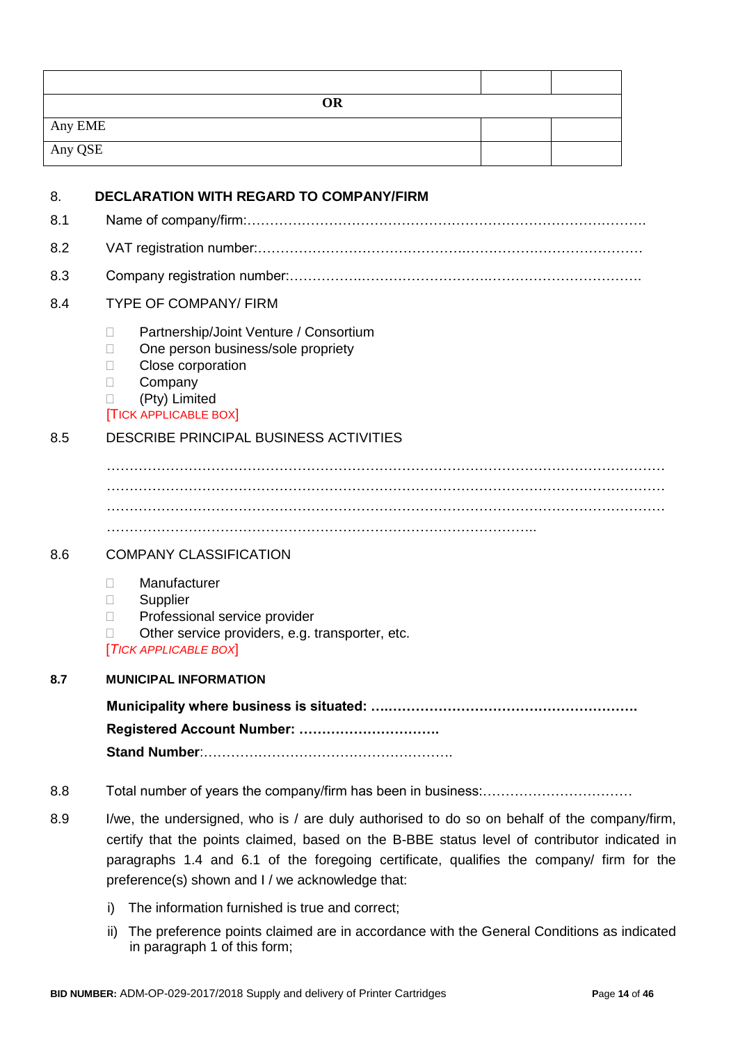| <b>OR</b>                                            |  |  |  |
|------------------------------------------------------|--|--|--|
| Any EME                                              |  |  |  |
| Any QSE                                              |  |  |  |
| <b>DECLARATION WITH REGARD TO COMPANY/FIRM</b><br>8. |  |  |  |

| 8.1 |  |
|-----|--|
| 8.2 |  |
| 8.3 |  |

#### 8.4 TYPE OF COMPANY/ FIRM

- □ Partnership/Joint Venture / Consortium
- □ One person business/sole propriety
- □ Close corporation
- **Company**
- (Pty) Limited

#### [TICK APPLICABLE BOX]

# 8.5 DESCRIBE PRINCIPAL BUSINESS ACTIVITIES

…………………………………………………………………………………………………………… …………………………………………………………………………………………………………… ……………………………………………………………………………………………………………

 $\mathcal{L}^{(n)}$ 

### 8.6 COMPANY CLASSIFICATION

- Manufacturer
- **Supplier**
- D Professional service provider
- $\Box$  Other service providers, e.g. transporter, etc.

[*TICK APPLICABLE BOX*]

## **8.7 MUNICIPAL INFORMATION**

**Municipality where business is situated: ….………………………………………………. Registered Account Number: …………………………. Stand Number**:……………………………………………….

- 8.8 Total number of years the company/firm has been in business:……………………………
- 8.9 I/we, the undersigned, who is / are duly authorised to do so on behalf of the company/firm, certify that the points claimed, based on the B-BBE status level of contributor indicated in paragraphs 1.4 and 6.1 of the foregoing certificate, qualifies the company/ firm for the preference(s) shown and I / we acknowledge that:
	- i) The information furnished is true and correct;
	- ii) The preference points claimed are in accordance with the General Conditions as indicated in paragraph 1 of this form;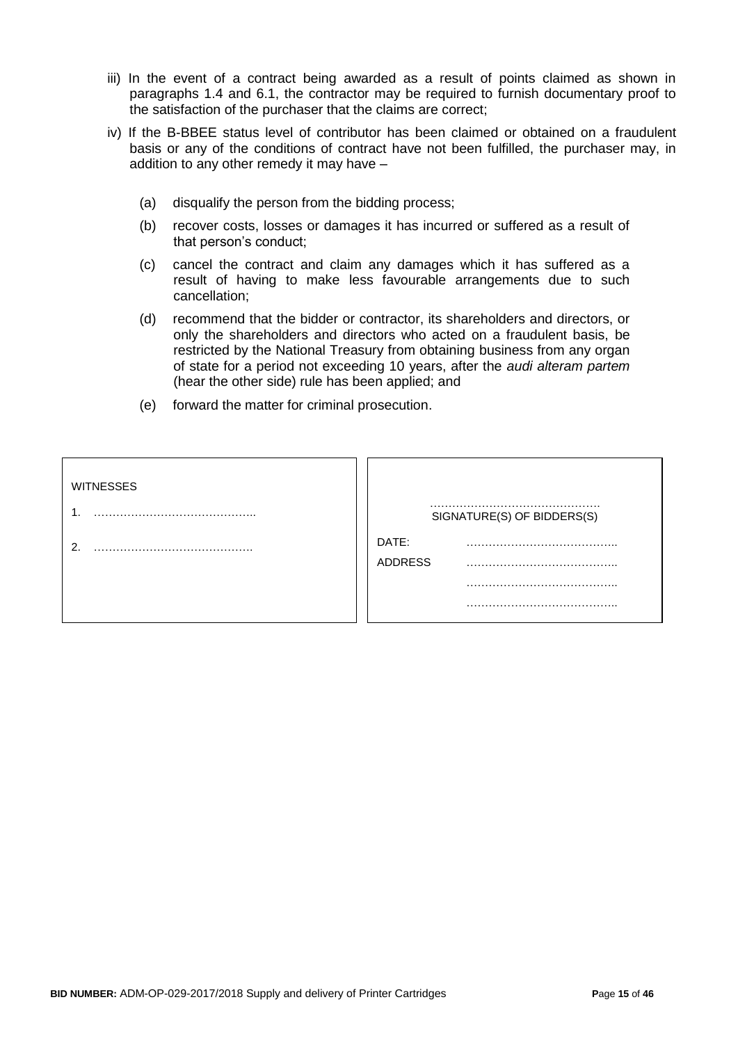- iii) In the event of a contract being awarded as a result of points claimed as shown in paragraphs 1.4 and 6.1, the contractor may be required to furnish documentary proof to the satisfaction of the purchaser that the claims are correct;
- iv) If the B-BBEE status level of contributor has been claimed or obtained on a fraudulent basis or any of the conditions of contract have not been fulfilled, the purchaser may, in addition to any other remedy it may have –
	- (a) disqualify the person from the bidding process;
	- (b) recover costs, losses or damages it has incurred or suffered as a result of that person's conduct;
	- (c) cancel the contract and claim any damages which it has suffered as a result of having to make less favourable arrangements due to such cancellation;
	- (d) recommend that the bidder or contractor, its shareholders and directors, or only the shareholders and directors who acted on a fraudulent basis, be restricted by the National Treasury from obtaining business from any organ of state for a period not exceeding 10 years, after the *audi alteram partem* (hear the other side) rule has been applied; and
	- (e) forward the matter for criminal prosecution.

| <b>WITNESSES</b> |                         | SIGNATURE(S) OF BIDDERS(S) |
|------------------|-------------------------|----------------------------|
|                  | DATE:<br><b>ADDRESS</b> |                            |
|                  |                         |                            |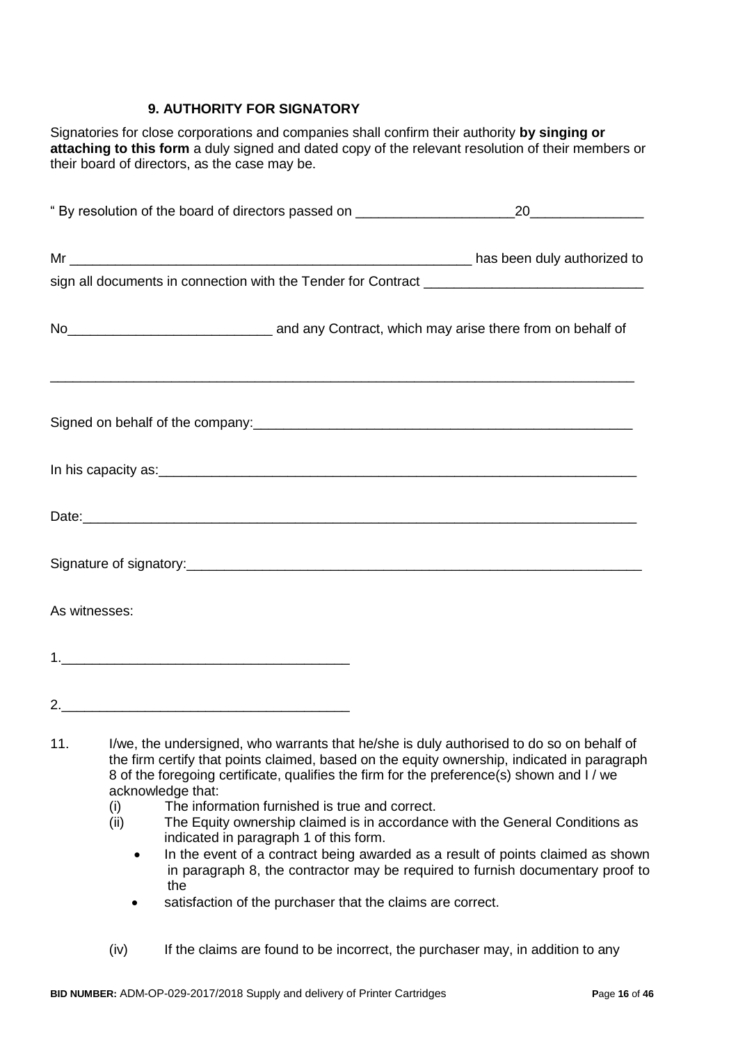# **9. AUTHORITY FOR SIGNATORY**

Signatories for close corporations and companies shall confirm their authority **by singing or attaching to this form** a duly signed and dated copy of the relevant resolution of their members or their board of directors, as the case may be.

|     | " By resolution of the board of directors passed on ____________________________                                                                                                      | 20                                                                                          |
|-----|---------------------------------------------------------------------------------------------------------------------------------------------------------------------------------------|---------------------------------------------------------------------------------------------|
|     |                                                                                                                                                                                       |                                                                                             |
|     |                                                                                                                                                                                       |                                                                                             |
|     | No <sub>__________________________________</sub> and any Contract, which may arise there from on behalf of                                                                            |                                                                                             |
|     | ,我们也不能在这里的人,我们也不能在这里的人,我们也不能在这里的人,我们也不能在这里的人,我们也不能在这里的人,我们也不能在这里的人,我们也不能在这里的人,我们也                                                                                                     |                                                                                             |
|     |                                                                                                                                                                                       |                                                                                             |
|     |                                                                                                                                                                                       |                                                                                             |
|     |                                                                                                                                                                                       |                                                                                             |
|     | As witnesses:                                                                                                                                                                         |                                                                                             |
|     |                                                                                                                                                                                       |                                                                                             |
|     |                                                                                                                                                                                       |                                                                                             |
| 11. | I/we, the undersigned, who warrants that he/she is duly authorised to do so on behalf of<br>8 of the foregoing certificate, qualifies the firm for the preference(s) shown and I / we | the firm certify that points claimed, based on the equity ownership, indicated in paragraph |

- acknowledge that:
- (i) The information furnished is true and correct.
- (ii) The Equity ownership claimed is in accordance with the General Conditions as indicated in paragraph 1 of this form.
	- In the event of a contract being awarded as a result of points claimed as shown in paragraph 8, the contractor may be required to furnish documentary proof to the
	- satisfaction of the purchaser that the claims are correct.
- (iv) If the claims are found to be incorrect, the purchaser may, in addition to any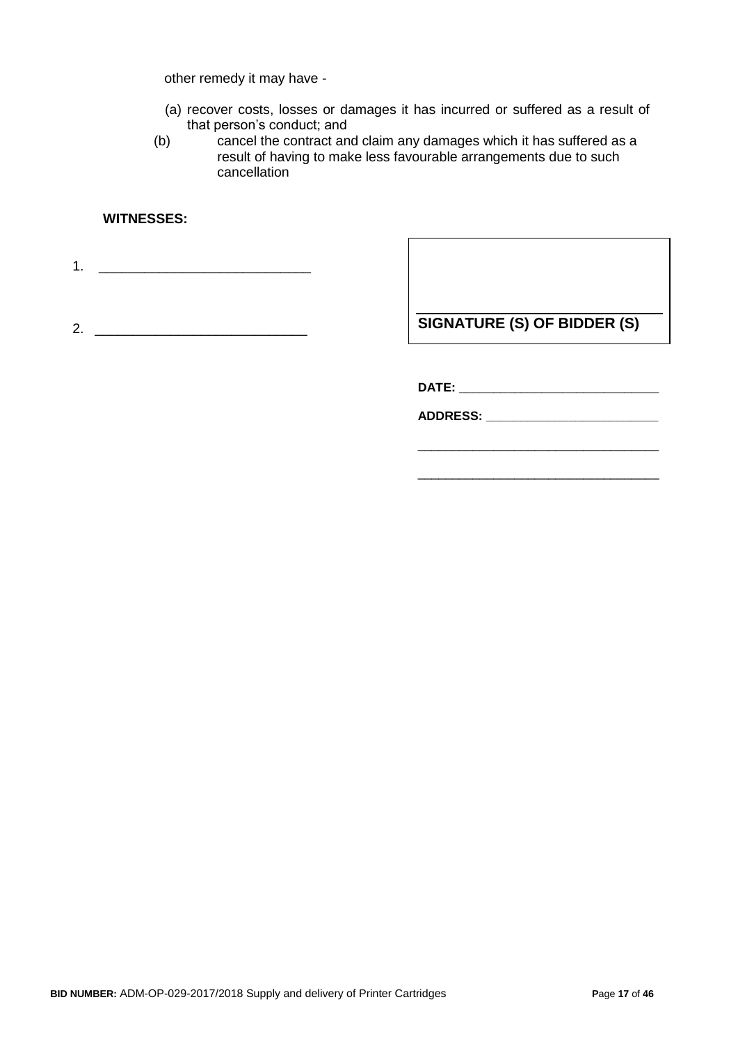other remedy it may have -

- (a) recover costs, losses or damages it has incurred or suffered as a result of that person's conduct; and
- (b) cancel the contract and claim any damages which it has suffered as a result of having to make less favourable arrangements due to such cancellation

### **WITNESSES:**

1. \_\_\_\_\_\_\_\_\_\_\_\_\_\_\_\_\_\_\_\_\_\_\_\_\_\_\_\_

2. \_\_\_\_\_\_\_\_\_\_\_\_\_\_\_\_\_\_\_\_\_\_\_\_\_\_\_\_

**SIGNATURE (S) OF BIDDER (S)**

\_\_\_\_\_\_\_\_\_\_\_\_\_\_\_\_\_\_\_\_\_\_\_\_\_\_\_\_\_\_\_\_\_\_\_

\_\_\_\_\_\_\_\_\_\_\_\_\_\_\_\_\_\_\_\_\_\_\_\_\_\_\_\_\_\_\_\_\_\_\_

**DATE: \_\_\_\_\_\_\_\_\_\_\_\_\_\_\_\_\_\_\_\_\_\_\_\_\_\_\_\_\_**

**ADDRESS: \_\_\_\_\_\_\_\_\_\_\_\_\_\_\_\_\_\_\_\_\_\_\_\_\_**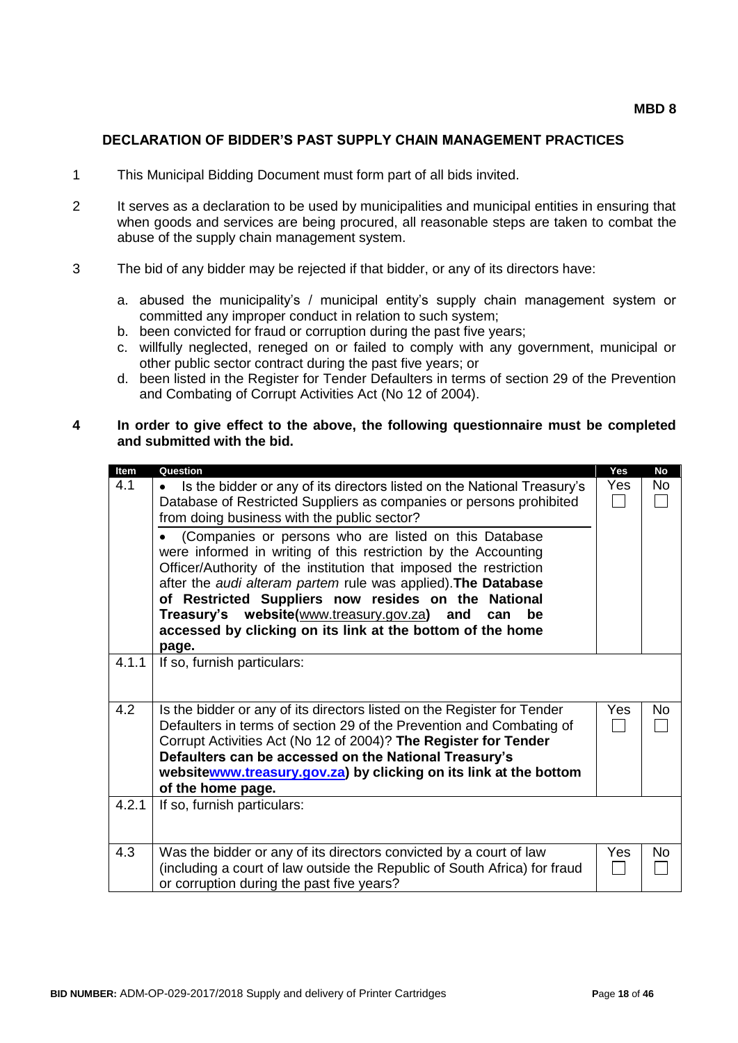### **DECLARATION OF BIDDER'S PAST SUPPLY CHAIN MANAGEMENT PRACTICES**

- 1 This Municipal Bidding Document must form part of all bids invited.
- 2 It serves as a declaration to be used by municipalities and municipal entities in ensuring that when goods and services are being procured, all reasonable steps are taken to combat the abuse of the supply chain management system.
- 3 The bid of any bidder may be rejected if that bidder, or any of its directors have:
	- a. abused the municipality's / municipal entity's supply chain management system or committed any improper conduct in relation to such system;
	- b. been convicted for fraud or corruption during the past five years;
	- c. willfully neglected, reneged on or failed to comply with any government, municipal or other public sector contract during the past five years; or
	- d. been listed in the Register for Tender Defaulters in terms of section 29 of the Prevention and Combating of Corrupt Activities Act (No 12 of 2004).

#### **4 In order to give effect to the above, the following questionnaire must be completed and submitted with the bid.**

| Item                | Question                                                                                                                                                                                                                                                                                                                                                                                                                                                                                                                                                | Yes               | <b>No</b> |
|---------------------|---------------------------------------------------------------------------------------------------------------------------------------------------------------------------------------------------------------------------------------------------------------------------------------------------------------------------------------------------------------------------------------------------------------------------------------------------------------------------------------------------------------------------------------------------------|-------------------|-----------|
| 4.1                 | Is the bidder or any of its directors listed on the National Treasury's<br>$\bullet$                                                                                                                                                                                                                                                                                                                                                                                                                                                                    | Yes               | No.       |
|                     | Database of Restricted Suppliers as companies or persons prohibited                                                                                                                                                                                                                                                                                                                                                                                                                                                                                     |                   |           |
|                     | from doing business with the public sector?                                                                                                                                                                                                                                                                                                                                                                                                                                                                                                             |                   |           |
|                     |                                                                                                                                                                                                                                                                                                                                                                                                                                                                                                                                                         |                   |           |
|                     | (Companies or persons who are listed on this Database                                                                                                                                                                                                                                                                                                                                                                                                                                                                                                   |                   |           |
|                     | were informed in writing of this restriction by the Accounting                                                                                                                                                                                                                                                                                                                                                                                                                                                                                          |                   |           |
|                     | Officer/Authority of the institution that imposed the restriction                                                                                                                                                                                                                                                                                                                                                                                                                                                                                       |                   |           |
|                     | after the audi alteram partem rule was applied). The Database                                                                                                                                                                                                                                                                                                                                                                                                                                                                                           |                   |           |
|                     | of Restricted Suppliers now resides on the National                                                                                                                                                                                                                                                                                                                                                                                                                                                                                                     |                   |           |
|                     | Treasury's website(www.treasury.gov.za) and<br>can<br>be                                                                                                                                                                                                                                                                                                                                                                                                                                                                                                |                   |           |
|                     | accessed by clicking on its link at the bottom of the home                                                                                                                                                                                                                                                                                                                                                                                                                                                                                              |                   |           |
|                     | page.                                                                                                                                                                                                                                                                                                                                                                                                                                                                                                                                                   |                   |           |
| 4.1.1               | If so, furnish particulars:                                                                                                                                                                                                                                                                                                                                                                                                                                                                                                                             |                   |           |
|                     |                                                                                                                                                                                                                                                                                                                                                                                                                                                                                                                                                         |                   |           |
|                     |                                                                                                                                                                                                                                                                                                                                                                                                                                                                                                                                                         |                   |           |
|                     |                                                                                                                                                                                                                                                                                                                                                                                                                                                                                                                                                         |                   | No        |
|                     |                                                                                                                                                                                                                                                                                                                                                                                                                                                                                                                                                         |                   |           |
|                     |                                                                                                                                                                                                                                                                                                                                                                                                                                                                                                                                                         |                   |           |
|                     |                                                                                                                                                                                                                                                                                                                                                                                                                                                                                                                                                         |                   |           |
|                     |                                                                                                                                                                                                                                                                                                                                                                                                                                                                                                                                                         |                   |           |
|                     |                                                                                                                                                                                                                                                                                                                                                                                                                                                                                                                                                         |                   |           |
|                     |                                                                                                                                                                                                                                                                                                                                                                                                                                                                                                                                                         |                   |           |
|                     |                                                                                                                                                                                                                                                                                                                                                                                                                                                                                                                                                         |                   |           |
|                     |                                                                                                                                                                                                                                                                                                                                                                                                                                                                                                                                                         |                   |           |
|                     |                                                                                                                                                                                                                                                                                                                                                                                                                                                                                                                                                         |                   |           |
|                     |                                                                                                                                                                                                                                                                                                                                                                                                                                                                                                                                                         |                   | No        |
|                     |                                                                                                                                                                                                                                                                                                                                                                                                                                                                                                                                                         |                   |           |
|                     | or corruption during the past five years?                                                                                                                                                                                                                                                                                                                                                                                                                                                                                                               |                   |           |
| 4.2<br>4.2.1<br>4.3 | Is the bidder or any of its directors listed on the Register for Tender<br>Defaulters in terms of section 29 of the Prevention and Combating of<br>Corrupt Activities Act (No 12 of 2004)? The Register for Tender<br>Defaulters can be accessed on the National Treasury's<br>websitewww.treasury.gov.za) by clicking on its link at the bottom<br>of the home page.<br>If so, furnish particulars:<br>Was the bidder or any of its directors convicted by a court of law<br>(including a court of law outside the Republic of South Africa) for fraud | Yes<br><b>Yes</b> |           |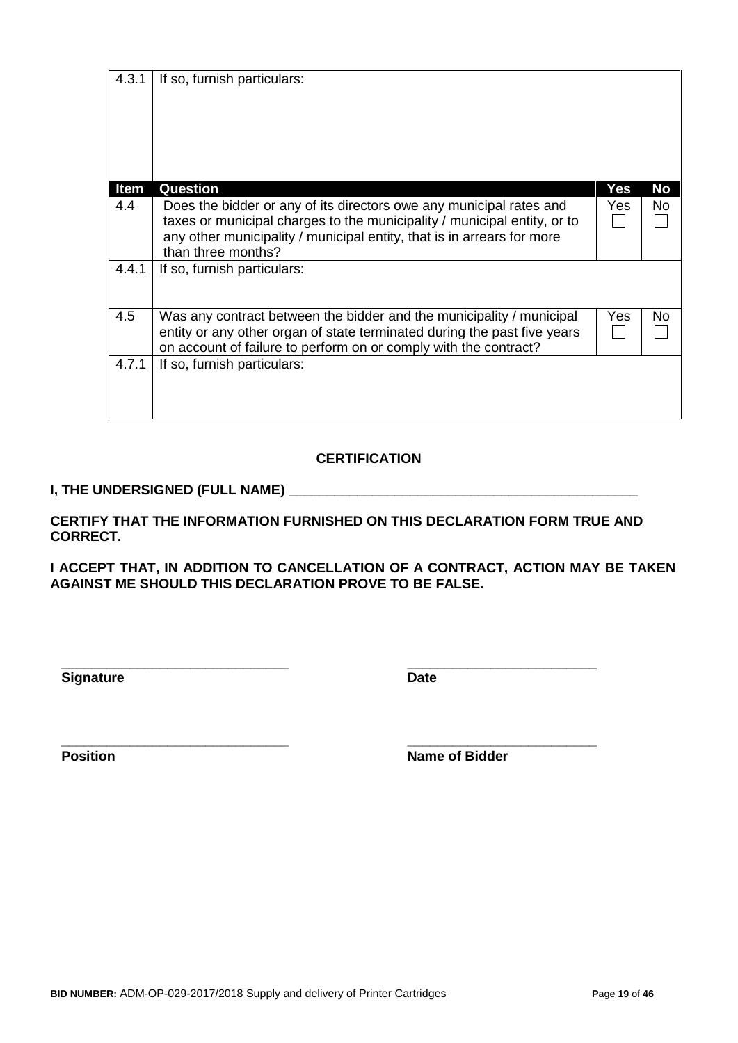| Item  | Question                                                                                                                                                                                                                                        | Yes |
|-------|-------------------------------------------------------------------------------------------------------------------------------------------------------------------------------------------------------------------------------------------------|-----|
| 4.4   | Does the bidder or any of its directors owe any municipal rates and<br>taxes or municipal charges to the municipality / municipal entity, or to<br>any other municipality / municipal entity, that is in arrears for more<br>than three months? | Yes |
| 4.4.1 | If so, furnish particulars:                                                                                                                                                                                                                     |     |
| 4.5   | Was any contract between the bidder and the municipality / municipal<br>entity or any other organ of state terminated during the past five years<br>on account of failure to perform on or comply with the contract?                            | Yes |
| 4.7.1 | If so, furnish particulars:                                                                                                                                                                                                                     |     |
|       | <b>CERTIFICATION</b>                                                                                                                                                                                                                            |     |
|       | I, THE UNDERSIGNED (FULL NAME)                                                                                                                                                                                                                  |     |

**I ACCEPT THAT, IN ADDITION TO CANCELLATION OF A CONTRACT, ACTION MAY BE TAKEN AGAINST ME SHOULD THIS DECLARATION PROVE TO BE FALSE.**

**\_\_\_\_\_\_\_\_\_\_\_\_\_\_\_\_\_\_\_\_\_\_\_\_\_\_\_\_\_\_ \_\_\_\_\_\_\_\_\_\_\_\_\_\_\_\_\_\_\_\_\_\_\_\_\_**

**Signature Date** 

**\_\_\_\_\_\_\_\_\_\_\_\_\_\_\_\_\_\_\_\_\_\_\_\_\_\_\_\_\_\_ \_\_\_\_\_\_\_\_\_\_\_\_\_\_\_\_\_\_\_\_\_\_\_\_\_ Position Name of Bidder** 

4.3.1 If so, furnish particulars: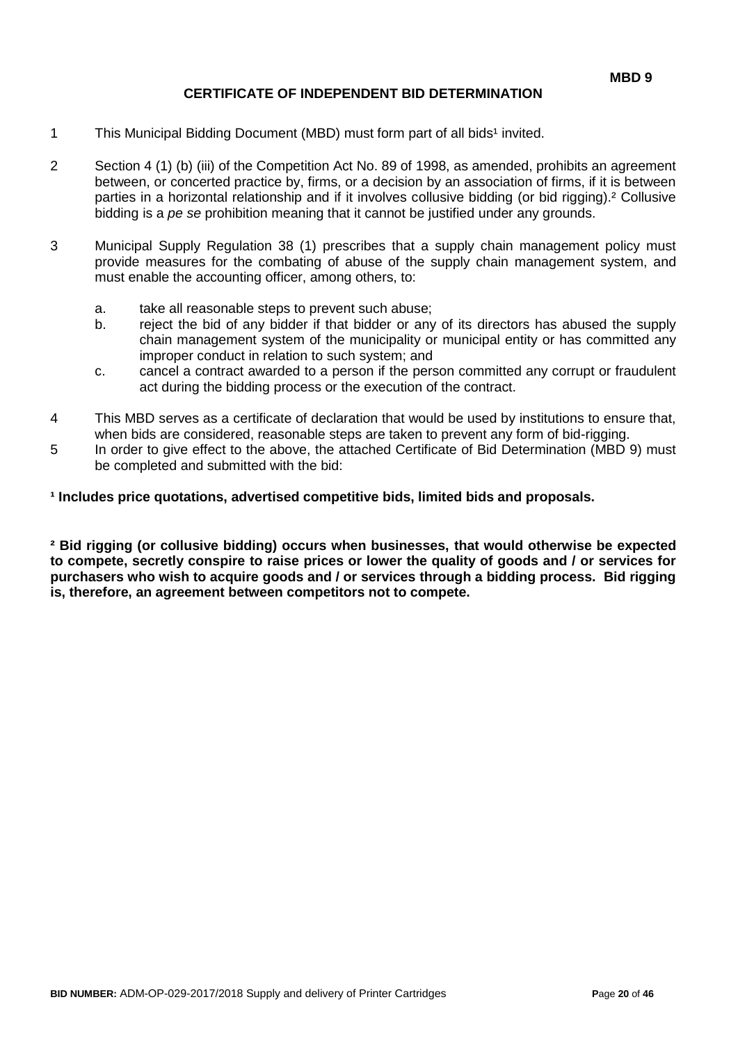## **CERTIFICATE OF INDEPENDENT BID DETERMINATION**

- 1 This Municipal Bidding Document (MBD) must form part of all bids<sup>1</sup> invited.
- 2 Section 4 (1) (b) (iii) of the Competition Act No. 89 of 1998, as amended, prohibits an agreement between, or concerted practice by, firms, or a decision by an association of firms, if it is between parties in a horizontal relationship and if it involves collusive bidding (or bid rigging).² Collusive bidding is a *pe se* prohibition meaning that it cannot be justified under any grounds.
- 3 Municipal Supply Regulation 38 (1) prescribes that a supply chain management policy must provide measures for the combating of abuse of the supply chain management system, and must enable the accounting officer, among others, to:
	- a. take all reasonable steps to prevent such abuse;
	- b. reject the bid of any bidder if that bidder or any of its directors has abused the supply chain management system of the municipality or municipal entity or has committed any improper conduct in relation to such system; and
	- c. cancel a contract awarded to a person if the person committed any corrupt or fraudulent act during the bidding process or the execution of the contract.
- 4 This MBD serves as a certificate of declaration that would be used by institutions to ensure that, when bids are considered, reasonable steps are taken to prevent any form of bid-rigging.
- 5 In order to give effect to the above, the attached Certificate of Bid Determination (MBD 9) must be completed and submitted with the bid:

**¹ Includes price quotations, advertised competitive bids, limited bids and proposals.**

**² Bid rigging (or collusive bidding) occurs when businesses, that would otherwise be expected to compete, secretly conspire to raise prices or lower the quality of goods and / or services for purchasers who wish to acquire goods and / or services through a bidding process. Bid rigging is, therefore, an agreement between competitors not to compete.**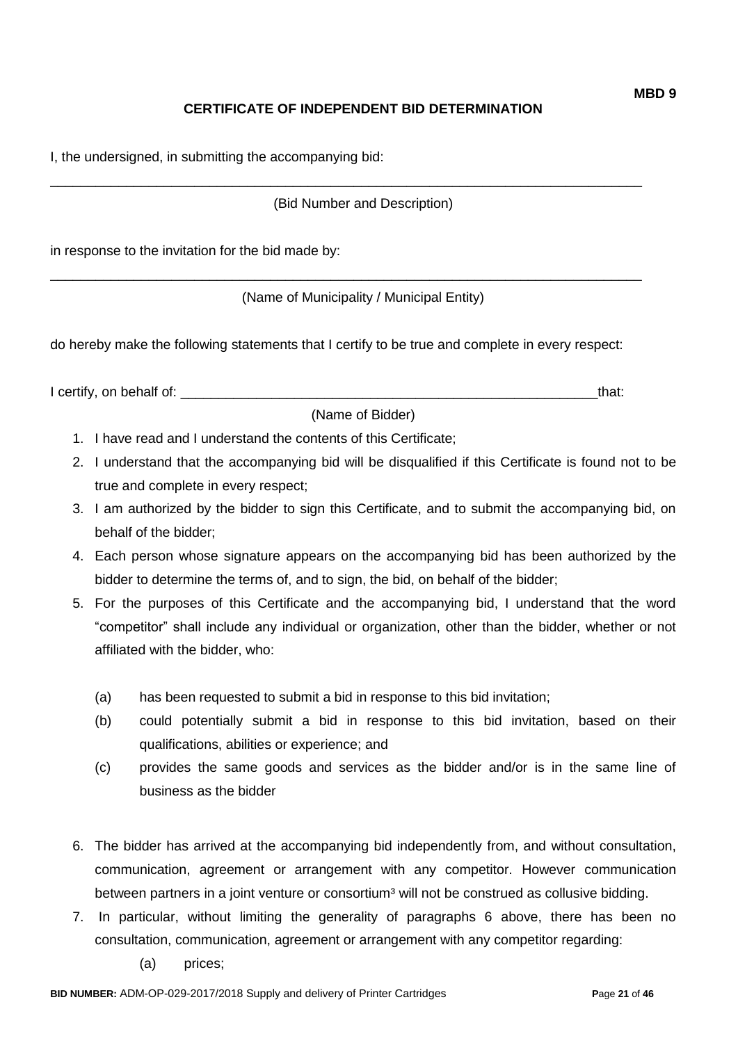# **CERTIFICATE OF INDEPENDENT BID DETERMINATION**

I, the undersigned, in submitting the accompanying bid:

(Bid Number and Description)

\_\_\_\_\_\_\_\_\_\_\_\_\_\_\_\_\_\_\_\_\_\_\_\_\_\_\_\_\_\_\_\_\_\_\_\_\_\_\_\_\_\_\_\_\_\_\_\_\_\_\_\_\_\_\_\_\_\_\_\_\_\_\_\_\_\_\_\_\_\_\_\_\_\_\_\_\_\_

\_\_\_\_\_\_\_\_\_\_\_\_\_\_\_\_\_\_\_\_\_\_\_\_\_\_\_\_\_\_\_\_\_\_\_\_\_\_\_\_\_\_\_\_\_\_\_\_\_\_\_\_\_\_\_\_\_\_\_\_\_\_\_\_\_\_\_\_\_\_\_\_\_\_\_\_\_\_

in response to the invitation for the bid made by:

(Name of Municipality / Municipal Entity)

do hereby make the following statements that I certify to be true and complete in every respect:

I certify, on behalf of: the same of the same of the same of the same of the same of the same of the same of the same of the same of the same of the same of the same of the same of the same of the same of the same of the s

(Name of Bidder)

- 1. I have read and I understand the contents of this Certificate;
- 2. I understand that the accompanying bid will be disqualified if this Certificate is found not to be true and complete in every respect;
- 3. I am authorized by the bidder to sign this Certificate, and to submit the accompanying bid, on behalf of the bidder;
- 4. Each person whose signature appears on the accompanying bid has been authorized by the bidder to determine the terms of, and to sign, the bid, on behalf of the bidder;
- 5. For the purposes of this Certificate and the accompanying bid, I understand that the word "competitor" shall include any individual or organization, other than the bidder, whether or not affiliated with the bidder, who:
	- (a) has been requested to submit a bid in response to this bid invitation;
	- (b) could potentially submit a bid in response to this bid invitation, based on their qualifications, abilities or experience; and
	- (c) provides the same goods and services as the bidder and/or is in the same line of business as the bidder
- 6. The bidder has arrived at the accompanying bid independently from, and without consultation, communication, agreement or arrangement with any competitor. However communication between partners in a joint venture or consortium<sup>3</sup> will not be construed as collusive bidding.
- 7. In particular, without limiting the generality of paragraphs 6 above, there has been no consultation, communication, agreement or arrangement with any competitor regarding:
	- (a) prices;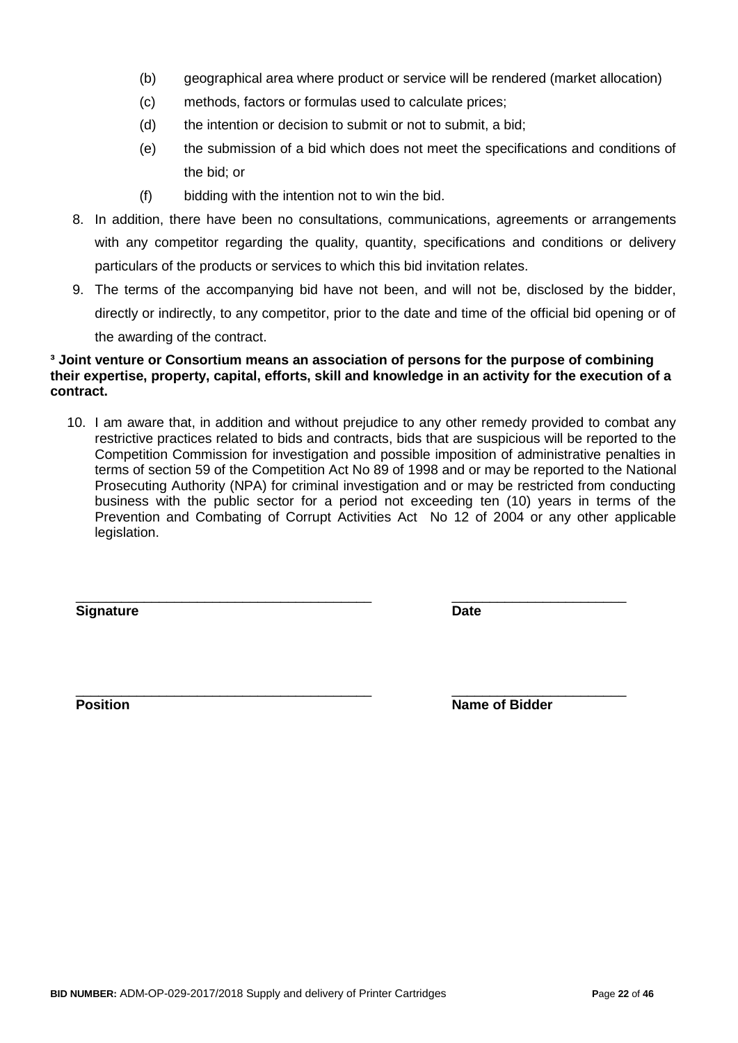- (b) geographical area where product or service will be rendered (market allocation)
- (c) methods, factors or formulas used to calculate prices;
- (d) the intention or decision to submit or not to submit, a bid;
- (e) the submission of a bid which does not meet the specifications and conditions of the bid; or
- (f) bidding with the intention not to win the bid.
- 8. In addition, there have been no consultations, communications, agreements or arrangements with any competitor regarding the quality, quantity, specifications and conditions or delivery particulars of the products or services to which this bid invitation relates.
- 9. The terms of the accompanying bid have not been, and will not be, disclosed by the bidder, directly or indirectly, to any competitor, prior to the date and time of the official bid opening or of the awarding of the contract.

#### **³ Joint venture or Consortium means an association of persons for the purpose of combining their expertise, property, capital, efforts, skill and knowledge in an activity for the execution of a contract.**

10. I am aware that, in addition and without prejudice to any other remedy provided to combat any restrictive practices related to bids and contracts, bids that are suspicious will be reported to the Competition Commission for investigation and possible imposition of administrative penalties in terms of section 59 of the Competition Act No 89 of 1998 and or may be reported to the National Prosecuting Authority (NPA) for criminal investigation and or may be restricted from conducting business with the public sector for a period not exceeding ten (10) years in terms of the Prevention and Combating of Corrupt Activities Act No 12 of 2004 or any other applicable legislation.

\_\_\_\_\_\_\_\_\_\_\_\_\_\_\_\_\_\_\_\_\_\_\_\_\_\_\_\_\_\_\_\_\_\_\_\_\_\_\_ \_\_\_\_\_\_\_\_\_\_\_\_\_\_\_\_\_\_\_\_\_\_\_

**Signature Date**

\_\_\_\_\_\_\_\_\_\_\_\_\_\_\_\_\_\_\_\_\_\_\_\_\_\_\_\_\_\_\_\_\_\_\_\_\_\_\_ \_\_\_\_\_\_\_\_\_\_\_\_\_\_\_\_\_\_\_\_\_\_\_ **Position Position Name of Bidder**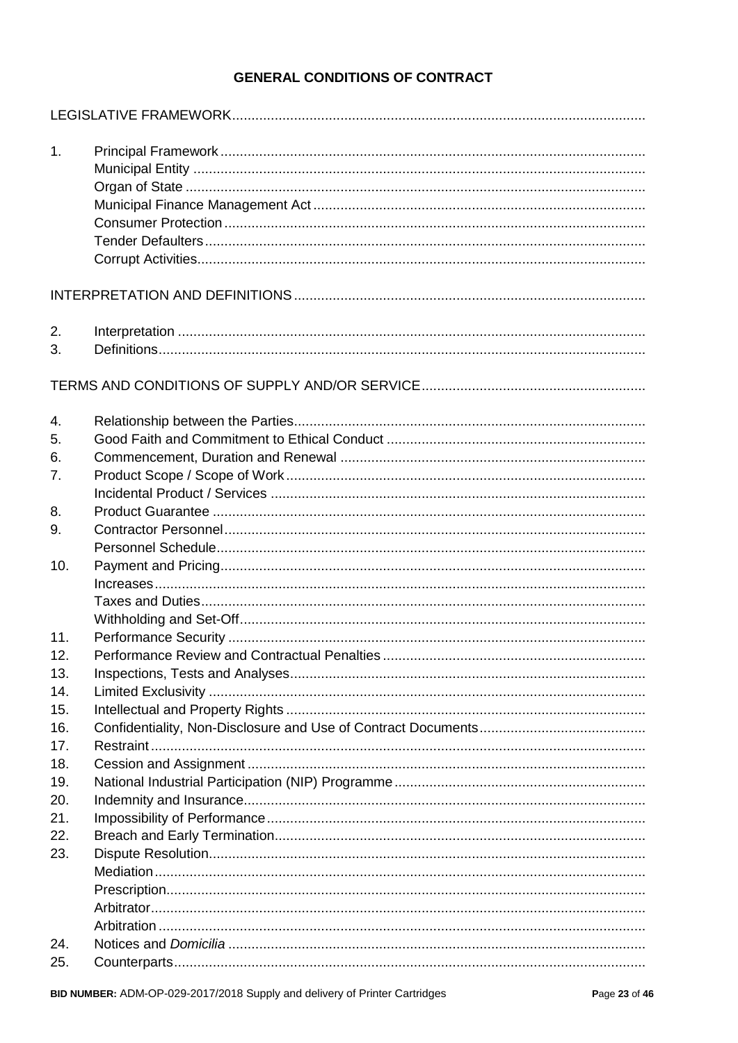# **GENERAL CONDITIONS OF CONTRACT**

| 1.         |  |
|------------|--|
|            |  |
| 2.<br>3.   |  |
|            |  |
| 4.<br>5.   |  |
| 6.         |  |
| 7.         |  |
|            |  |
| 8.         |  |
| 9.         |  |
|            |  |
| 10.        |  |
|            |  |
|            |  |
|            |  |
| 11.        |  |
| 12.        |  |
| 13.        |  |
| 14.        |  |
| 15.        |  |
| 16.        |  |
| 17.        |  |
| 18.        |  |
| 19.        |  |
| 20.        |  |
| 21.<br>22. |  |
| 23.        |  |
|            |  |
|            |  |
|            |  |
|            |  |
| 24.        |  |
| 25.        |  |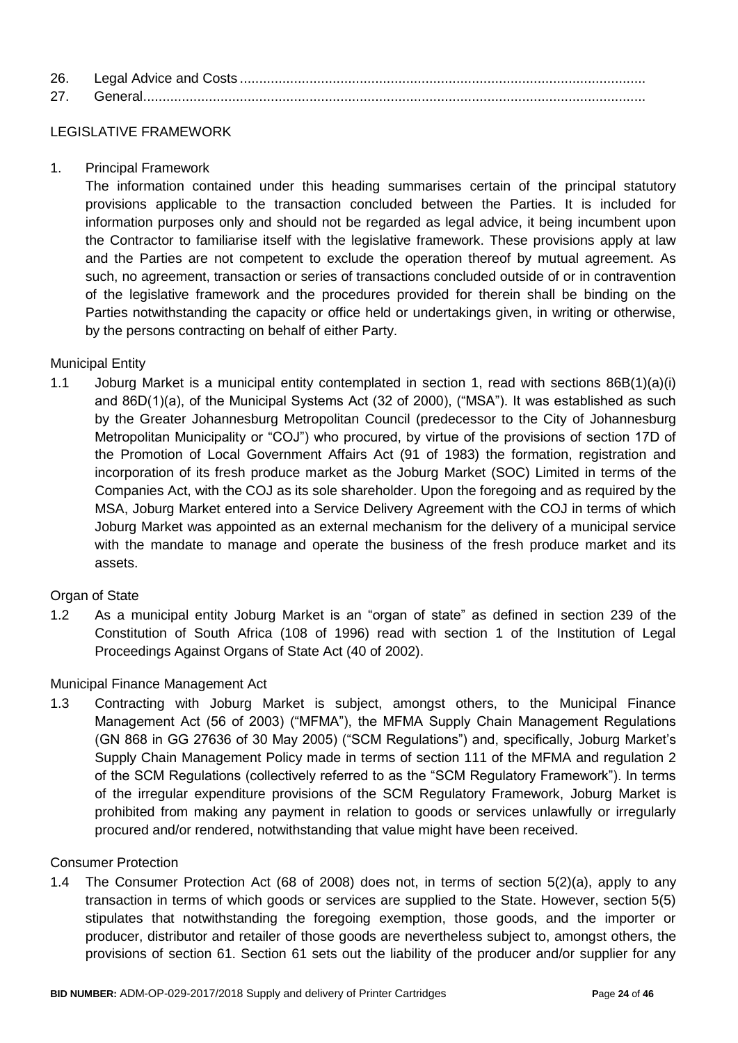| 26. |  |
|-----|--|
| 27  |  |

# LEGISLATIVE FRAMEWORK

1. Principal Framework

The information contained under this heading summarises certain of the principal statutory provisions applicable to the transaction concluded between the Parties. It is included for information purposes only and should not be regarded as legal advice, it being incumbent upon the Contractor to familiarise itself with the legislative framework. These provisions apply at law and the Parties are not competent to exclude the operation thereof by mutual agreement. As such, no agreement, transaction or series of transactions concluded outside of or in contravention of the legislative framework and the procedures provided for therein shall be binding on the Parties notwithstanding the capacity or office held or undertakings given, in writing or otherwise, by the persons contracting on behalf of either Party.

# Municipal Entity

1.1 Joburg Market is a municipal entity contemplated in section 1, read with sections 86B(1)(a)(i) and 86D(1)(a), of the Municipal Systems Act (32 of 2000), ("MSA"). It was established as such by the Greater Johannesburg Metropolitan Council (predecessor to the City of Johannesburg Metropolitan Municipality or "COJ") who procured, by virtue of the provisions of section 17D of the Promotion of Local Government Affairs Act (91 of 1983) the formation, registration and incorporation of its fresh produce market as the Joburg Market (SOC) Limited in terms of the Companies Act, with the COJ as its sole shareholder. Upon the foregoing and as required by the MSA, Joburg Market entered into a Service Delivery Agreement with the COJ in terms of which Joburg Market was appointed as an external mechanism for the delivery of a municipal service with the mandate to manage and operate the business of the fresh produce market and its assets.

### Organ of State

1.2 As a municipal entity Joburg Market is an "organ of state" as defined in section 239 of the Constitution of South Africa (108 of 1996) read with section 1 of the Institution of Legal Proceedings Against Organs of State Act (40 of 2002).

### Municipal Finance Management Act

1.3 Contracting with Joburg Market is subject, amongst others, to the Municipal Finance Management Act (56 of 2003) ("MFMA"), the MFMA Supply Chain Management Regulations (GN 868 in GG 27636 of 30 May 2005) ("SCM Regulations") and, specifically, Joburg Market's Supply Chain Management Policy made in terms of section 111 of the MFMA and regulation 2 of the SCM Regulations (collectively referred to as the "SCM Regulatory Framework"). In terms of the irregular expenditure provisions of the SCM Regulatory Framework, Joburg Market is prohibited from making any payment in relation to goods or services unlawfully or irregularly procured and/or rendered, notwithstanding that value might have been received.

### Consumer Protection

1.4 The Consumer Protection Act (68 of 2008) does not, in terms of section 5(2)(a), apply to any transaction in terms of which goods or services are supplied to the State. However, section 5(5) stipulates that notwithstanding the foregoing exemption, those goods, and the importer or producer, distributor and retailer of those goods are nevertheless subject to, amongst others, the provisions of section 61. Section 61 sets out the liability of the producer and/or supplier for any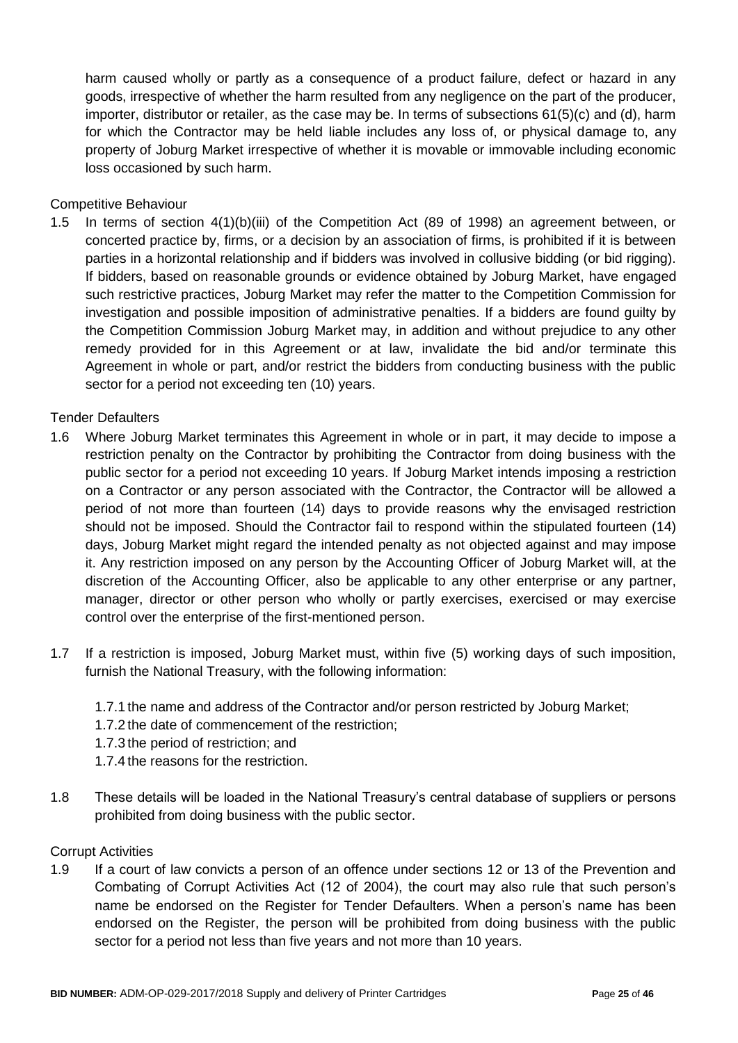harm caused wholly or partly as a consequence of a product failure, defect or hazard in any goods, irrespective of whether the harm resulted from any negligence on the part of the producer, importer, distributor or retailer, as the case may be. In terms of subsections 61(5)(c) and (d), harm for which the Contractor may be held liable includes any loss of, or physical damage to, any property of Joburg Market irrespective of whether it is movable or immovable including economic loss occasioned by such harm.

### Competitive Behaviour

1.5 In terms of section 4(1)(b)(iii) of the Competition Act (89 of 1998) an agreement between, or concerted practice by, firms, or a decision by an association of firms, is prohibited if it is between parties in a horizontal relationship and if bidders was involved in collusive bidding (or bid rigging). If bidders, based on reasonable grounds or evidence obtained by Joburg Market, have engaged such restrictive practices, Joburg Market may refer the matter to the Competition Commission for investigation and possible imposition of administrative penalties. If a bidders are found guilty by the Competition Commission Joburg Market may, in addition and without prejudice to any other remedy provided for in this Agreement or at law, invalidate the bid and/or terminate this Agreement in whole or part, and/or restrict the bidders from conducting business with the public sector for a period not exceeding ten (10) years.

#### Tender Defaulters

- 1.6 Where Joburg Market terminates this Agreement in whole or in part, it may decide to impose a restriction penalty on the Contractor by prohibiting the Contractor from doing business with the public sector for a period not exceeding 10 years. If Joburg Market intends imposing a restriction on a Contractor or any person associated with the Contractor, the Contractor will be allowed a period of not more than fourteen (14) days to provide reasons why the envisaged restriction should not be imposed. Should the Contractor fail to respond within the stipulated fourteen (14) days, Joburg Market might regard the intended penalty as not objected against and may impose it. Any restriction imposed on any person by the Accounting Officer of Joburg Market will, at the discretion of the Accounting Officer, also be applicable to any other enterprise or any partner, manager, director or other person who wholly or partly exercises, exercised or may exercise control over the enterprise of the first-mentioned person.
- 1.7 If a restriction is imposed, Joburg Market must, within five (5) working days of such imposition, furnish the National Treasury, with the following information:
	- 1.7.1 the name and address of the Contractor and/or person restricted by Joburg Market;
	- 1.7.2 the date of commencement of the restriction;
	- 1.7.3 the period of restriction; and
	- 1.7.4 the reasons for the restriction.
- 1.8 These details will be loaded in the National Treasury's central database of suppliers or persons prohibited from doing business with the public sector.

#### Corrupt Activities

1.9 If a court of law convicts a person of an offence under sections 12 or 13 of the Prevention and Combating of Corrupt Activities Act (12 of 2004), the court may also rule that such person's name be endorsed on the Register for Tender Defaulters. When a person's name has been endorsed on the Register, the person will be prohibited from doing business with the public sector for a period not less than five years and not more than 10 years.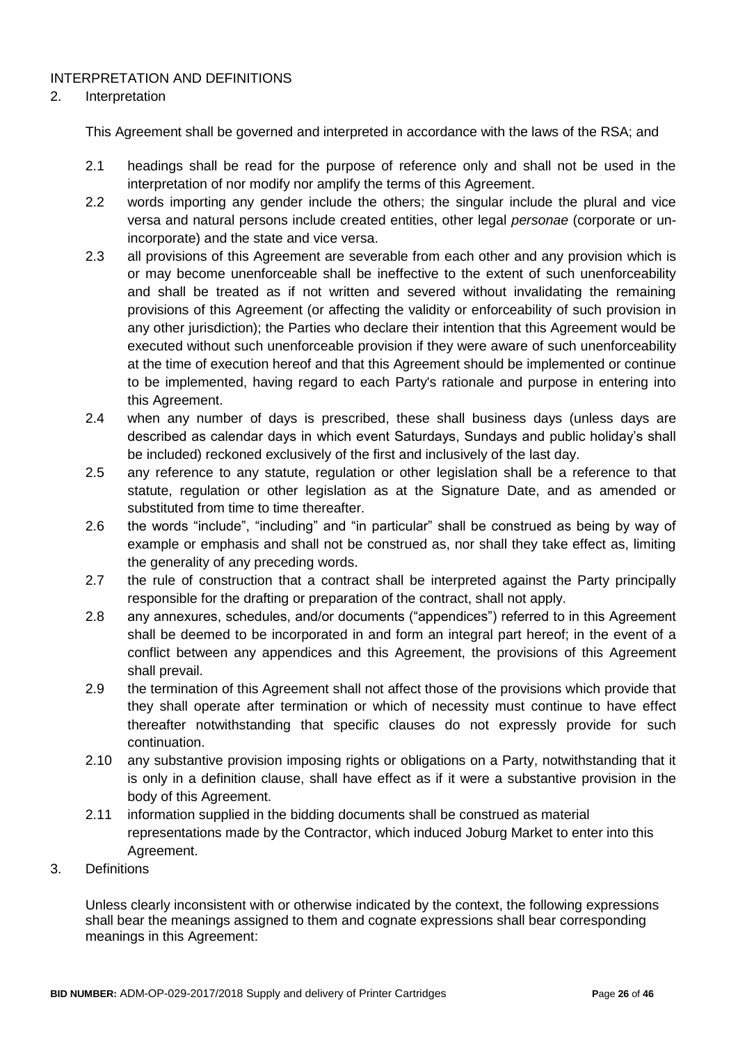# INTERPRETATION AND DEFINITIONS

### 2. Interpretation

This Agreement shall be governed and interpreted in accordance with the laws of the RSA; and

- 2.1 headings shall be read for the purpose of reference only and shall not be used in the interpretation of nor modify nor amplify the terms of this Agreement.
- 2.2 words importing any gender include the others; the singular include the plural and vice versa and natural persons include created entities, other legal *personae* (corporate or unincorporate) and the state and vice versa.
- 2.3 all provisions of this Agreement are severable from each other and any provision which is or may become unenforceable shall be ineffective to the extent of such unenforceability and shall be treated as if not written and severed without invalidating the remaining provisions of this Agreement (or affecting the validity or enforceability of such provision in any other jurisdiction); the Parties who declare their intention that this Agreement would be executed without such unenforceable provision if they were aware of such unenforceability at the time of execution hereof and that this Agreement should be implemented or continue to be implemented, having regard to each Party's rationale and purpose in entering into this Agreement.
- 2.4 when any number of days is prescribed, these shall business days (unless days are described as calendar days in which event Saturdays, Sundays and public holiday's shall be included) reckoned exclusively of the first and inclusively of the last day.
- 2.5 any reference to any statute, regulation or other legislation shall be a reference to that statute, regulation or other legislation as at the Signature Date, and as amended or substituted from time to time thereafter.
- 2.6 the words "include", "including" and "in particular" shall be construed as being by way of example or emphasis and shall not be construed as, nor shall they take effect as, limiting the generality of any preceding words.
- 2.7 the rule of construction that a contract shall be interpreted against the Party principally responsible for the drafting or preparation of the contract, shall not apply.
- 2.8 any annexures, schedules, and/or documents ("appendices") referred to in this Agreement shall be deemed to be incorporated in and form an integral part hereof; in the event of a conflict between any appendices and this Agreement, the provisions of this Agreement shall prevail.
- 2.9 the termination of this Agreement shall not affect those of the provisions which provide that they shall operate after termination or which of necessity must continue to have effect thereafter notwithstanding that specific clauses do not expressly provide for such continuation.
- 2.10 any substantive provision imposing rights or obligations on a Party, notwithstanding that it is only in a definition clause, shall have effect as if it were a substantive provision in the body of this Agreement.
- 2.11 information supplied in the bidding documents shall be construed as material representations made by the Contractor, which induced Joburg Market to enter into this Agreement.
- 3. Definitions

Unless clearly inconsistent with or otherwise indicated by the context, the following expressions shall bear the meanings assigned to them and cognate expressions shall bear corresponding meanings in this Agreement: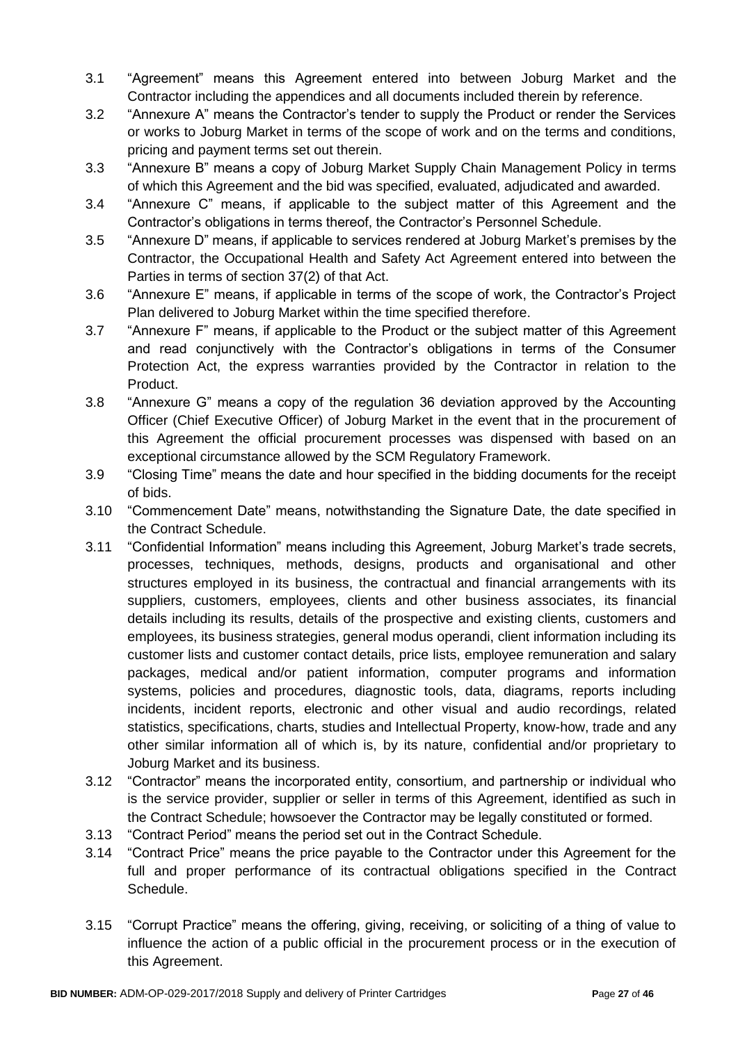- 3.1 "Agreement" means this Agreement entered into between Joburg Market and the Contractor including the appendices and all documents included therein by reference.
- 3.2 "Annexure A" means the Contractor's tender to supply the Product or render the Services or works to Joburg Market in terms of the scope of work and on the terms and conditions, pricing and payment terms set out therein.
- 3.3 "Annexure B" means a copy of Joburg Market Supply Chain Management Policy in terms of which this Agreement and the bid was specified, evaluated, adjudicated and awarded.
- 3.4 "Annexure C" means, if applicable to the subject matter of this Agreement and the Contractor's obligations in terms thereof, the Contractor's Personnel Schedule.
- 3.5 "Annexure D" means, if applicable to services rendered at Joburg Market's premises by the Contractor, the Occupational Health and Safety Act Agreement entered into between the Parties in terms of section 37(2) of that Act.
- 3.6 "Annexure E" means, if applicable in terms of the scope of work, the Contractor's Project Plan delivered to Joburg Market within the time specified therefore.
- 3.7 "Annexure F" means, if applicable to the Product or the subject matter of this Agreement and read conjunctively with the Contractor's obligations in terms of the Consumer Protection Act, the express warranties provided by the Contractor in relation to the Product.
- 3.8 "Annexure G" means a copy of the regulation 36 deviation approved by the Accounting Officer (Chief Executive Officer) of Joburg Market in the event that in the procurement of this Agreement the official procurement processes was dispensed with based on an exceptional circumstance allowed by the SCM Regulatory Framework.
- 3.9 "Closing Time" means the date and hour specified in the bidding documents for the receipt of bids.
- 3.10 "Commencement Date" means, notwithstanding the Signature Date, the date specified in the Contract Schedule.
- 3.11 "Confidential Information" means including this Agreement, Joburg Market's trade secrets, processes, techniques, methods, designs, products and organisational and other structures employed in its business, the contractual and financial arrangements with its suppliers, customers, employees, clients and other business associates, its financial details including its results, details of the prospective and existing clients, customers and employees, its business strategies, general modus operandi, client information including its customer lists and customer contact details, price lists, employee remuneration and salary packages, medical and/or patient information, computer programs and information systems, policies and procedures, diagnostic tools, data, diagrams, reports including incidents, incident reports, electronic and other visual and audio recordings, related statistics, specifications, charts, studies and Intellectual Property, know-how, trade and any other similar information all of which is, by its nature, confidential and/or proprietary to Joburg Market and its business.
- 3.12 "Contractor" means the incorporated entity, consortium, and partnership or individual who is the service provider, supplier or seller in terms of this Agreement, identified as such in the Contract Schedule; howsoever the Contractor may be legally constituted or formed.
- 3.13 "Contract Period" means the period set out in the Contract Schedule.
- 3.14 "Contract Price" means the price payable to the Contractor under this Agreement for the full and proper performance of its contractual obligations specified in the Contract Schedule.
- 3.15 "Corrupt Practice" means the offering, giving, receiving, or soliciting of a thing of value to influence the action of a public official in the procurement process or in the execution of this Agreement.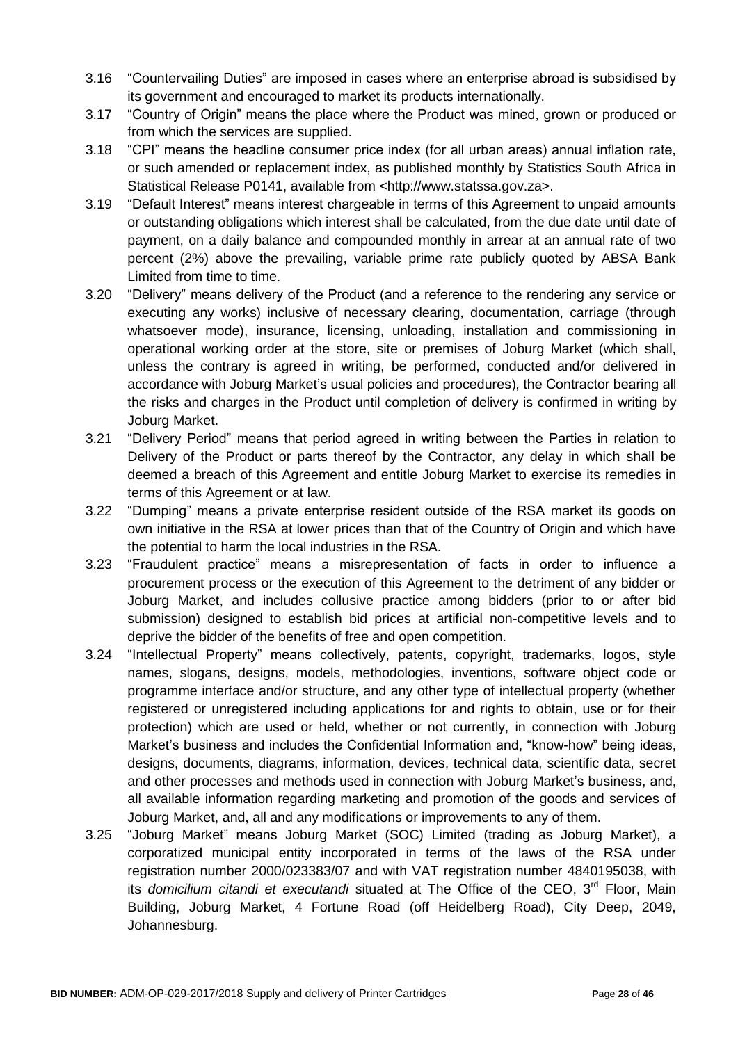- 3.16 "Countervailing Duties" are imposed in cases where an enterprise abroad is subsidised by its government and encouraged to market its products internationally.
- 3.17 "Country of Origin" means the place where the Product was mined, grown or produced or from which the services are supplied.
- 3.18 "CPI" means the headline consumer price index (for all urban areas) annual inflation rate, or such amended or replacement index, as published monthly by Statistics South Africa in Statistical Release P0141, available from <http://www.statssa.gov.za>.
- 3.19 "Default Interest" means interest chargeable in terms of this Agreement to unpaid amounts or outstanding obligations which interest shall be calculated, from the due date until date of payment, on a daily balance and compounded monthly in arrear at an annual rate of two percent (2%) above the prevailing, variable prime rate publicly quoted by ABSA Bank Limited from time to time.
- 3.20 "Delivery" means delivery of the Product (and a reference to the rendering any service or executing any works) inclusive of necessary clearing, documentation, carriage (through whatsoever mode), insurance, licensing, unloading, installation and commissioning in operational working order at the store, site or premises of Joburg Market (which shall, unless the contrary is agreed in writing, be performed, conducted and/or delivered in accordance with Joburg Market's usual policies and procedures), the Contractor bearing all the risks and charges in the Product until completion of delivery is confirmed in writing by Joburg Market.
- 3.21 "Delivery Period" means that period agreed in writing between the Parties in relation to Delivery of the Product or parts thereof by the Contractor, any delay in which shall be deemed a breach of this Agreement and entitle Joburg Market to exercise its remedies in terms of this Agreement or at law.
- 3.22 "Dumping" means a private enterprise resident outside of the RSA market its goods on own initiative in the RSA at lower prices than that of the Country of Origin and which have the potential to harm the local industries in the RSA.
- 3.23 "Fraudulent practice" means a misrepresentation of facts in order to influence a procurement process or the execution of this Agreement to the detriment of any bidder or Joburg Market, and includes collusive practice among bidders (prior to or after bid submission) designed to establish bid prices at artificial non-competitive levels and to deprive the bidder of the benefits of free and open competition.
- 3.24 "Intellectual Property" means collectively, patents, copyright, trademarks, logos, style names, slogans, designs, models, methodologies, inventions, software object code or programme interface and/or structure, and any other type of intellectual property (whether registered or unregistered including applications for and rights to obtain, use or for their protection) which are used or held, whether or not currently, in connection with Joburg Market's business and includes the Confidential Information and, "know-how" being ideas, designs, documents, diagrams, information, devices, technical data, scientific data, secret and other processes and methods used in connection with Joburg Market's business, and, all available information regarding marketing and promotion of the goods and services of Joburg Market, and, all and any modifications or improvements to any of them.
- 3.25 "Joburg Market" means Joburg Market (SOC) Limited (trading as Joburg Market), a corporatized municipal entity incorporated in terms of the laws of the RSA under registration number 2000/023383/07 and with VAT registration number 4840195038, with its *domicilium citandi et executandi* situated at The Office of the CEO, 3<sup>rd</sup> Floor, Main Building, Joburg Market, 4 Fortune Road (off Heidelberg Road), City Deep, 2049, Johannesburg.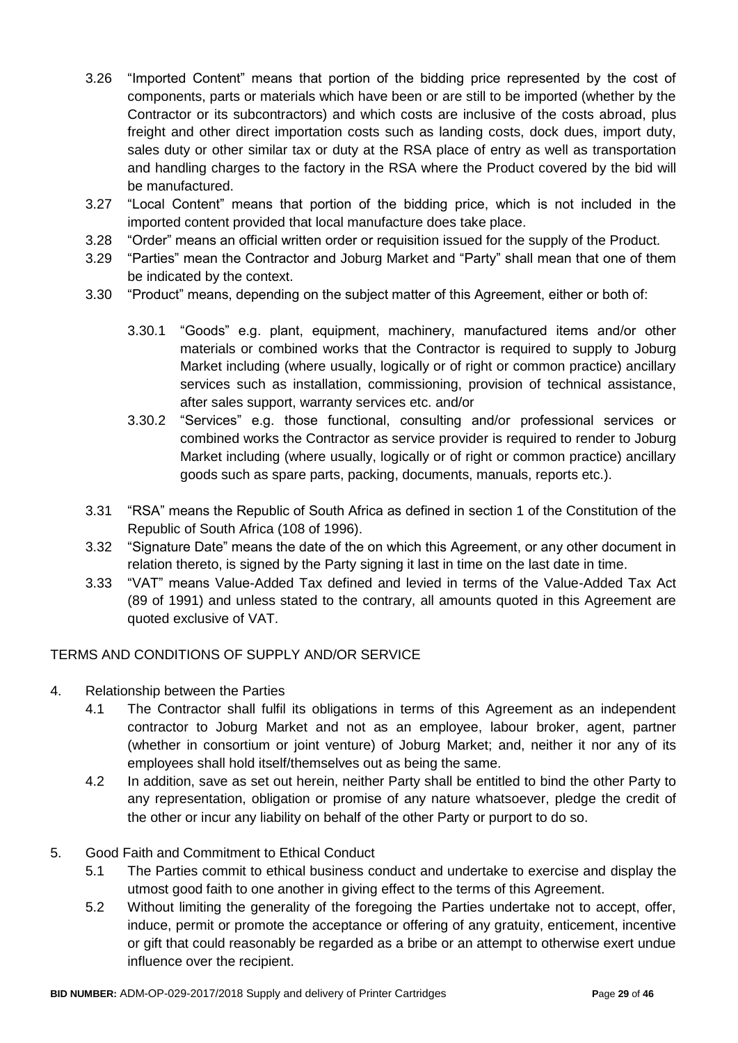- 3.26 "Imported Content" means that portion of the bidding price represented by the cost of components, parts or materials which have been or are still to be imported (whether by the Contractor or its subcontractors) and which costs are inclusive of the costs abroad, plus freight and other direct importation costs such as landing costs, dock dues, import duty, sales duty or other similar tax or duty at the RSA place of entry as well as transportation and handling charges to the factory in the RSA where the Product covered by the bid will be manufactured.
- 3.27 "Local Content" means that portion of the bidding price, which is not included in the imported content provided that local manufacture does take place.
- 3.28 "Order" means an official written order or requisition issued for the supply of the Product.
- 3.29 "Parties" mean the Contractor and Joburg Market and "Party" shall mean that one of them be indicated by the context.
- 3.30 "Product" means, depending on the subject matter of this Agreement, either or both of:
	- 3.30.1 "Goods" e.g. plant, equipment, machinery, manufactured items and/or other materials or combined works that the Contractor is required to supply to Joburg Market including (where usually, logically or of right or common practice) ancillary services such as installation, commissioning, provision of technical assistance, after sales support, warranty services etc. and/or
	- 3.30.2 "Services" e.g. those functional, consulting and/or professional services or combined works the Contractor as service provider is required to render to Joburg Market including (where usually, logically or of right or common practice) ancillary goods such as spare parts, packing, documents, manuals, reports etc.).
- 3.31 "RSA" means the Republic of South Africa as defined in section 1 of the Constitution of the Republic of South Africa (108 of 1996).
- 3.32 "Signature Date" means the date of the on which this Agreement, or any other document in relation thereto, is signed by the Party signing it last in time on the last date in time.
- 3.33 "VAT" means Value-Added Tax defined and levied in terms of the Value-Added Tax Act (89 of 1991) and unless stated to the contrary, all amounts quoted in this Agreement are quoted exclusive of VAT.

### TERMS AND CONDITIONS OF SUPPLY AND/OR SERVICE

- 4. Relationship between the Parties
	- 4.1 The Contractor shall fulfil its obligations in terms of this Agreement as an independent contractor to Joburg Market and not as an employee, labour broker, agent, partner (whether in consortium or joint venture) of Joburg Market; and, neither it nor any of its employees shall hold itself/themselves out as being the same.
	- 4.2 In addition, save as set out herein, neither Party shall be entitled to bind the other Party to any representation, obligation or promise of any nature whatsoever, pledge the credit of the other or incur any liability on behalf of the other Party or purport to do so.

### 5. Good Faith and Commitment to Ethical Conduct

- 5.1 The Parties commit to ethical business conduct and undertake to exercise and display the utmost good faith to one another in giving effect to the terms of this Agreement.
- 5.2 Without limiting the generality of the foregoing the Parties undertake not to accept, offer, induce, permit or promote the acceptance or offering of any gratuity, enticement, incentive or gift that could reasonably be regarded as a bribe or an attempt to otherwise exert undue influence over the recipient.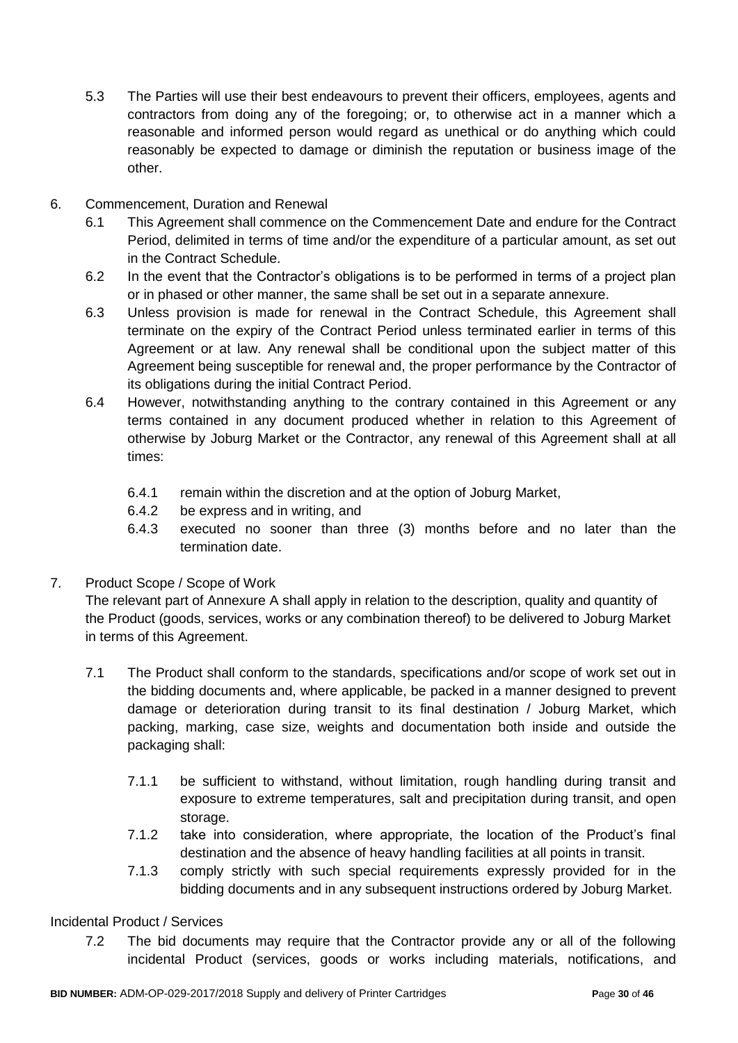- 5.3 The Parties will use their best endeavours to prevent their officers, employees, agents and contractors from doing any of the foregoing; or, to otherwise act in a manner which a reasonable and informed person would regard as unethical or do anything which could reasonably be expected to damage or diminish the reputation or business image of the other.
- 6. Commencement, Duration and Renewal
	- 6.1 This Agreement shall commence on the Commencement Date and endure for the Contract Period, delimited in terms of time and/or the expenditure of a particular amount, as set out in the Contract Schedule.
	- 6.2 In the event that the Contractor's obligations is to be performed in terms of a project plan or in phased or other manner, the same shall be set out in a separate annexure.
	- 6.3 Unless provision is made for renewal in the Contract Schedule, this Agreement shall terminate on the expiry of the Contract Period unless terminated earlier in terms of this Agreement or at law. Any renewal shall be conditional upon the subject matter of this Agreement being susceptible for renewal and, the proper performance by the Contractor of its obligations during the initial Contract Period.
	- 6.4 However, notwithstanding anything to the contrary contained in this Agreement or any terms contained in any document produced whether in relation to this Agreement of otherwise by Joburg Market or the Contractor, any renewal of this Agreement shall at all times:
		- 6.4.1 remain within the discretion and at the option of Joburg Market,
		- 6.4.2 be express and in writing, and
		- 6.4.3 executed no sooner than three (3) months before and no later than the termination date.
- 7. Product Scope / Scope of Work

The relevant part of Annexure A shall apply in relation to the description, quality and quantity of the Product (goods, services, works or any combination thereof) to be delivered to Joburg Market in terms of this Agreement.

- 7.1 The Product shall conform to the standards, specifications and/or scope of work set out in the bidding documents and, where applicable, be packed in a manner designed to prevent damage or deterioration during transit to its final destination / Joburg Market, which packing, marking, case size, weights and documentation both inside and outside the packaging shall:
	- 7.1.1 be sufficient to withstand, without limitation, rough handling during transit and exposure to extreme temperatures, salt and precipitation during transit, and open storage.
	- 7.1.2 take into consideration, where appropriate, the location of the Product's final destination and the absence of heavy handling facilities at all points in transit.
	- 7.1.3 comply strictly with such special requirements expressly provided for in the bidding documents and in any subsequent instructions ordered by Joburg Market.

### Incidental Product / Services

7.2 The bid documents may require that the Contractor provide any or all of the following incidental Product (services, goods or works including materials, notifications, and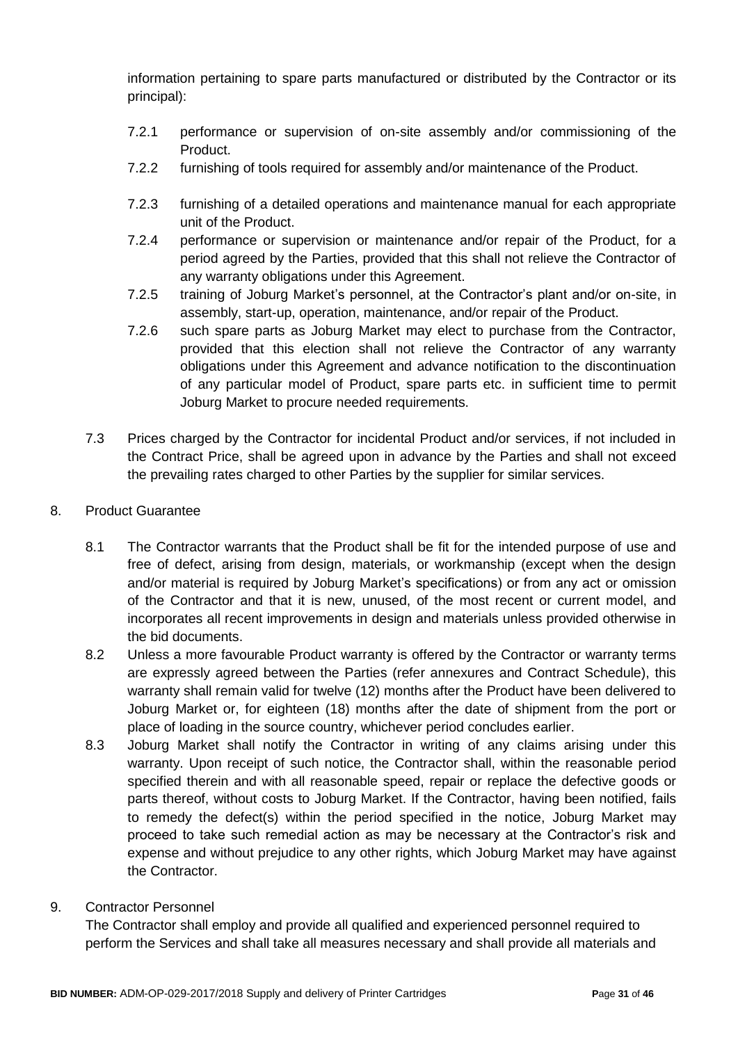information pertaining to spare parts manufactured or distributed by the Contractor or its principal):

- 7.2.1 performance or supervision of on-site assembly and/or commissioning of the Product.
- 7.2.2 furnishing of tools required for assembly and/or maintenance of the Product.
- 7.2.3 furnishing of a detailed operations and maintenance manual for each appropriate unit of the Product.
- 7.2.4 performance or supervision or maintenance and/or repair of the Product, for a period agreed by the Parties, provided that this shall not relieve the Contractor of any warranty obligations under this Agreement.
- 7.2.5 training of Joburg Market's personnel, at the Contractor's plant and/or on-site, in assembly, start-up, operation, maintenance, and/or repair of the Product.
- 7.2.6 such spare parts as Joburg Market may elect to purchase from the Contractor, provided that this election shall not relieve the Contractor of any warranty obligations under this Agreement and advance notification to the discontinuation of any particular model of Product, spare parts etc. in sufficient time to permit Joburg Market to procure needed requirements.
- 7.3 Prices charged by the Contractor for incidental Product and/or services, if not included in the Contract Price, shall be agreed upon in advance by the Parties and shall not exceed the prevailing rates charged to other Parties by the supplier for similar services.
- 8. Product Guarantee
	- 8.1 The Contractor warrants that the Product shall be fit for the intended purpose of use and free of defect, arising from design, materials, or workmanship (except when the design and/or material is required by Joburg Market's specifications) or from any act or omission of the Contractor and that it is new, unused, of the most recent or current model, and incorporates all recent improvements in design and materials unless provided otherwise in the bid documents.
	- 8.2 Unless a more favourable Product warranty is offered by the Contractor or warranty terms are expressly agreed between the Parties (refer annexures and Contract Schedule), this warranty shall remain valid for twelve (12) months after the Product have been delivered to Joburg Market or, for eighteen (18) months after the date of shipment from the port or place of loading in the source country, whichever period concludes earlier.
	- 8.3 Joburg Market shall notify the Contractor in writing of any claims arising under this warranty. Upon receipt of such notice, the Contractor shall, within the reasonable period specified therein and with all reasonable speed, repair or replace the defective goods or parts thereof, without costs to Joburg Market. If the Contractor, having been notified, fails to remedy the defect(s) within the period specified in the notice, Joburg Market may proceed to take such remedial action as may be necessary at the Contractor's risk and expense and without prejudice to any other rights, which Joburg Market may have against the Contractor.
- 9. Contractor Personnel

The Contractor shall employ and provide all qualified and experienced personnel required to perform the Services and shall take all measures necessary and shall provide all materials and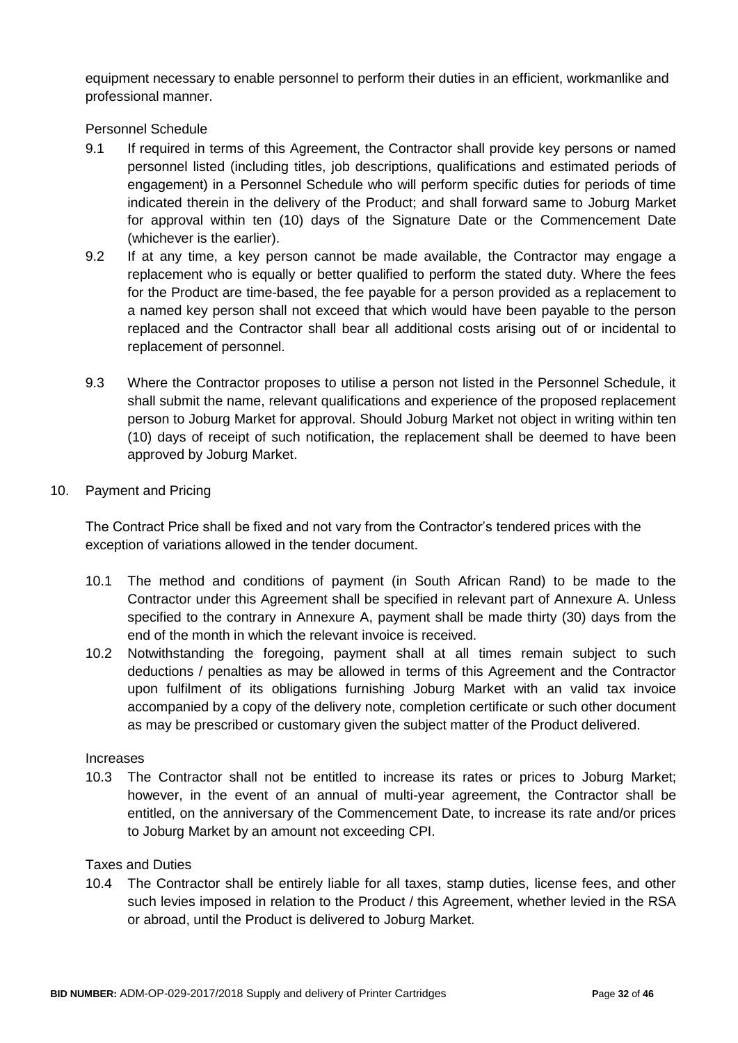equipment necessary to enable personnel to perform their duties in an efficient, workmanlike and professional manner.

Personnel Schedule

- 9.1 If required in terms of this Agreement, the Contractor shall provide key persons or named personnel listed (including titles, job descriptions, qualifications and estimated periods of engagement) in a Personnel Schedule who will perform specific duties for periods of time indicated therein in the delivery of the Product; and shall forward same to Joburg Market for approval within ten (10) days of the Signature Date or the Commencement Date (whichever is the earlier).
- 9.2 If at any time, a key person cannot be made available, the Contractor may engage a replacement who is equally or better qualified to perform the stated duty. Where the fees for the Product are time-based, the fee payable for a person provided as a replacement to a named key person shall not exceed that which would have been payable to the person replaced and the Contractor shall bear all additional costs arising out of or incidental to replacement of personnel.
- 9.3 Where the Contractor proposes to utilise a person not listed in the Personnel Schedule, it shall submit the name, relevant qualifications and experience of the proposed replacement person to Joburg Market for approval. Should Joburg Market not object in writing within ten (10) days of receipt of such notification, the replacement shall be deemed to have been approved by Joburg Market.
- 10. Payment and Pricing

The Contract Price shall be fixed and not vary from the Contractor's tendered prices with the exception of variations allowed in the tender document.

- 10.1 The method and conditions of payment (in South African Rand) to be made to the Contractor under this Agreement shall be specified in relevant part of Annexure A. Unless specified to the contrary in Annexure A, payment shall be made thirty (30) days from the end of the month in which the relevant invoice is received.
- 10.2 Notwithstanding the foregoing, payment shall at all times remain subject to such deductions / penalties as may be allowed in terms of this Agreement and the Contractor upon fulfilment of its obligations furnishing Joburg Market with an valid tax invoice accompanied by a copy of the delivery note, completion certificate or such other document as may be prescribed or customary given the subject matter of the Product delivered.

#### Increases

10.3 The Contractor shall not be entitled to increase its rates or prices to Joburg Market; however, in the event of an annual of multi-year agreement, the Contractor shall be entitled, on the anniversary of the Commencement Date, to increase its rate and/or prices to Joburg Market by an amount not exceeding CPI.

#### Taxes and Duties

10.4 The Contractor shall be entirely liable for all taxes, stamp duties, license fees, and other such levies imposed in relation to the Product / this Agreement, whether levied in the RSA or abroad, until the Product is delivered to Joburg Market.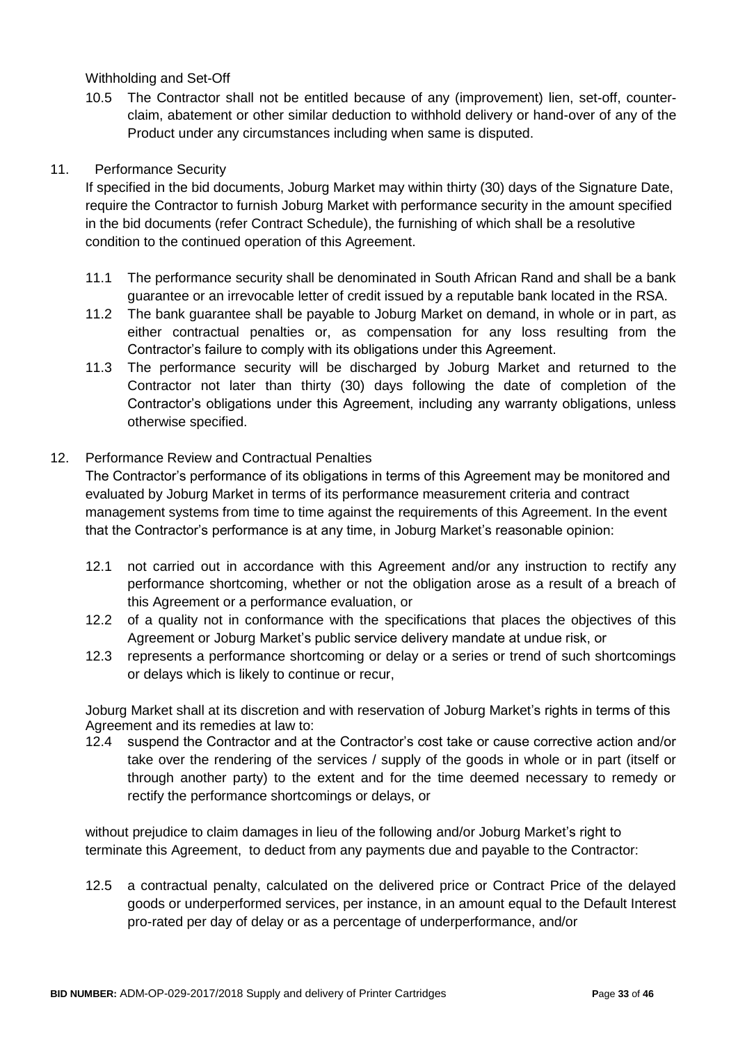Withholding and Set-Off

10.5 The Contractor shall not be entitled because of any (improvement) lien, set-off, counterclaim, abatement or other similar deduction to withhold delivery or hand-over of any of the Product under any circumstances including when same is disputed.

# 11. Performance Security

If specified in the bid documents, Joburg Market may within thirty (30) days of the Signature Date, require the Contractor to furnish Joburg Market with performance security in the amount specified in the bid documents (refer Contract Schedule), the furnishing of which shall be a resolutive condition to the continued operation of this Agreement.

- 11.1 The performance security shall be denominated in South African Rand and shall be a bank guarantee or an irrevocable letter of credit issued by a reputable bank located in the RSA.
- 11.2 The bank guarantee shall be payable to Joburg Market on demand, in whole or in part, as either contractual penalties or, as compensation for any loss resulting from the Contractor's failure to comply with its obligations under this Agreement.
- 11.3 The performance security will be discharged by Joburg Market and returned to the Contractor not later than thirty (30) days following the date of completion of the Contractor's obligations under this Agreement, including any warranty obligations, unless otherwise specified.

# 12. Performance Review and Contractual Penalties

The Contractor's performance of its obligations in terms of this Agreement may be monitored and evaluated by Joburg Market in terms of its performance measurement criteria and contract management systems from time to time against the requirements of this Agreement. In the event that the Contractor's performance is at any time, in Joburg Market's reasonable opinion:

- 12.1 not carried out in accordance with this Agreement and/or any instruction to rectify any performance shortcoming, whether or not the obligation arose as a result of a breach of this Agreement or a performance evaluation, or
- 12.2 of a quality not in conformance with the specifications that places the objectives of this Agreement or Joburg Market's public service delivery mandate at undue risk, or
- 12.3 represents a performance shortcoming or delay or a series or trend of such shortcomings or delays which is likely to continue or recur,

Joburg Market shall at its discretion and with reservation of Joburg Market's rights in terms of this Agreement and its remedies at law to:

12.4 suspend the Contractor and at the Contractor's cost take or cause corrective action and/or take over the rendering of the services / supply of the goods in whole or in part (itself or through another party) to the extent and for the time deemed necessary to remedy or rectify the performance shortcomings or delays, or

without prejudice to claim damages in lieu of the following and/or Joburg Market's right to terminate this Agreement, to deduct from any payments due and payable to the Contractor:

12.5 a contractual penalty, calculated on the delivered price or Contract Price of the delayed goods or underperformed services, per instance, in an amount equal to the Default Interest pro-rated per day of delay or as a percentage of underperformance, and/or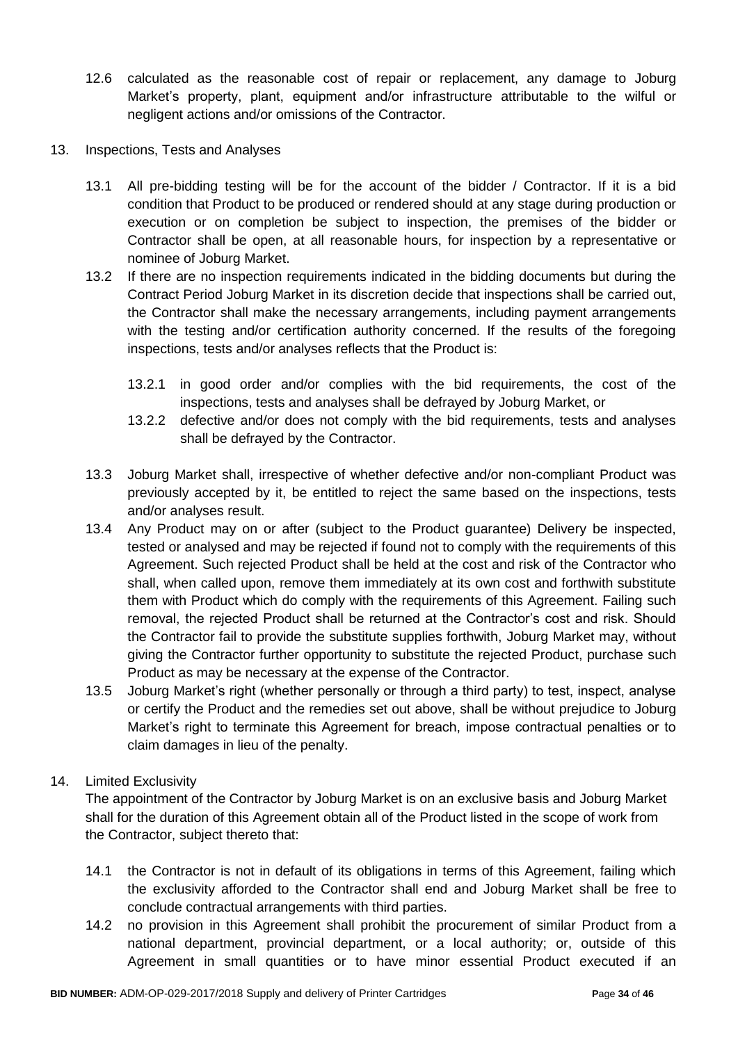- 12.6 calculated as the reasonable cost of repair or replacement, any damage to Joburg Market's property, plant, equipment and/or infrastructure attributable to the wilful or negligent actions and/or omissions of the Contractor.
- 13. Inspections, Tests and Analyses
	- 13.1 All pre-bidding testing will be for the account of the bidder / Contractor. If it is a bid condition that Product to be produced or rendered should at any stage during production or execution or on completion be subject to inspection, the premises of the bidder or Contractor shall be open, at all reasonable hours, for inspection by a representative or nominee of Joburg Market.
	- 13.2 If there are no inspection requirements indicated in the bidding documents but during the Contract Period Joburg Market in its discretion decide that inspections shall be carried out, the Contractor shall make the necessary arrangements, including payment arrangements with the testing and/or certification authority concerned. If the results of the foregoing inspections, tests and/or analyses reflects that the Product is:
		- 13.2.1 in good order and/or complies with the bid requirements, the cost of the inspections, tests and analyses shall be defrayed by Joburg Market, or
		- 13.2.2 defective and/or does not comply with the bid requirements, tests and analyses shall be defrayed by the Contractor.
	- 13.3 Joburg Market shall, irrespective of whether defective and/or non-compliant Product was previously accepted by it, be entitled to reject the same based on the inspections, tests and/or analyses result.
	- 13.4 Any Product may on or after (subject to the Product guarantee) Delivery be inspected, tested or analysed and may be rejected if found not to comply with the requirements of this Agreement. Such rejected Product shall be held at the cost and risk of the Contractor who shall, when called upon, remove them immediately at its own cost and forthwith substitute them with Product which do comply with the requirements of this Agreement. Failing such removal, the rejected Product shall be returned at the Contractor's cost and risk. Should the Contractor fail to provide the substitute supplies forthwith, Joburg Market may, without giving the Contractor further opportunity to substitute the rejected Product, purchase such Product as may be necessary at the expense of the Contractor.
	- 13.5 Joburg Market's right (whether personally or through a third party) to test, inspect, analyse or certify the Product and the remedies set out above, shall be without prejudice to Joburg Market's right to terminate this Agreement for breach, impose contractual penalties or to claim damages in lieu of the penalty.

### 14. Limited Exclusivity

The appointment of the Contractor by Joburg Market is on an exclusive basis and Joburg Market shall for the duration of this Agreement obtain all of the Product listed in the scope of work from the Contractor, subject thereto that:

- 14.1 the Contractor is not in default of its obligations in terms of this Agreement, failing which the exclusivity afforded to the Contractor shall end and Joburg Market shall be free to conclude contractual arrangements with third parties.
- 14.2 no provision in this Agreement shall prohibit the procurement of similar Product from a national department, provincial department, or a local authority; or, outside of this Agreement in small quantities or to have minor essential Product executed if an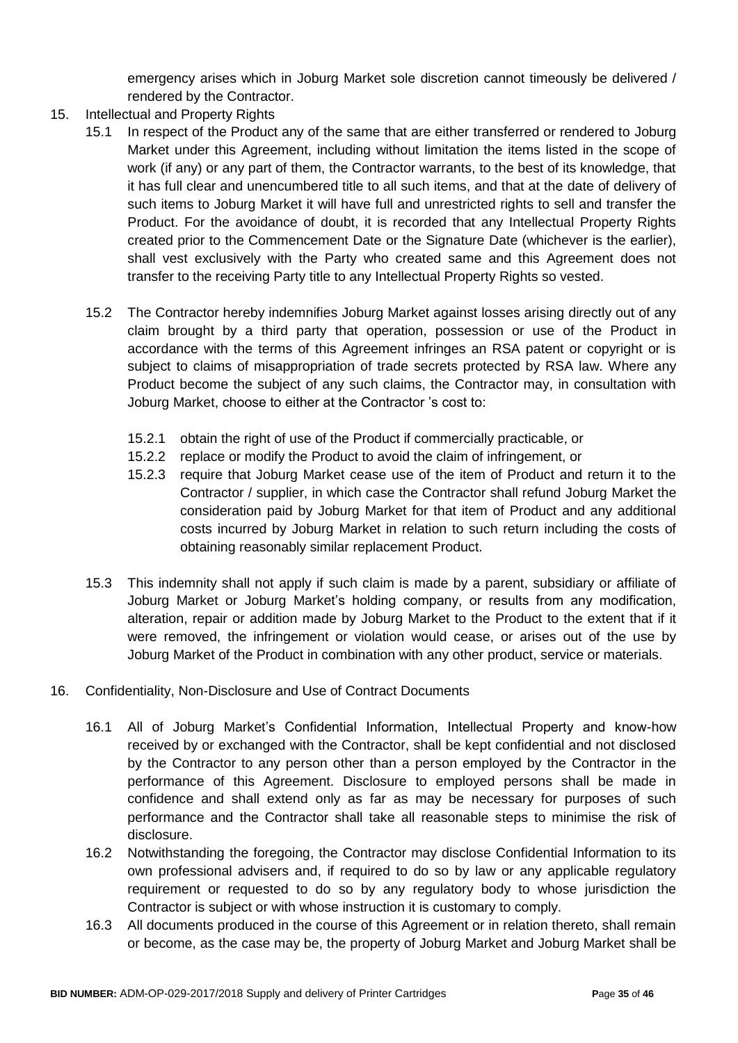emergency arises which in Joburg Market sole discretion cannot timeously be delivered / rendered by the Contractor.

- 15. Intellectual and Property Rights
	- 15.1 In respect of the Product any of the same that are either transferred or rendered to Joburg Market under this Agreement, including without limitation the items listed in the scope of work (if any) or any part of them, the Contractor warrants, to the best of its knowledge, that it has full clear and unencumbered title to all such items, and that at the date of delivery of such items to Joburg Market it will have full and unrestricted rights to sell and transfer the Product. For the avoidance of doubt, it is recorded that any Intellectual Property Rights created prior to the Commencement Date or the Signature Date (whichever is the earlier), shall vest exclusively with the Party who created same and this Agreement does not transfer to the receiving Party title to any Intellectual Property Rights so vested.
	- 15.2 The Contractor hereby indemnifies Joburg Market against losses arising directly out of any claim brought by a third party that operation, possession or use of the Product in accordance with the terms of this Agreement infringes an RSA patent or copyright or is subject to claims of misappropriation of trade secrets protected by RSA law. Where any Product become the subject of any such claims, the Contractor may, in consultation with Joburg Market, choose to either at the Contractor 's cost to:
		- 15.2.1 obtain the right of use of the Product if commercially practicable, or
		- 15.2.2 replace or modify the Product to avoid the claim of infringement, or
		- 15.2.3 require that Joburg Market cease use of the item of Product and return it to the Contractor / supplier, in which case the Contractor shall refund Joburg Market the consideration paid by Joburg Market for that item of Product and any additional costs incurred by Joburg Market in relation to such return including the costs of obtaining reasonably similar replacement Product.
	- 15.3 This indemnity shall not apply if such claim is made by a parent, subsidiary or affiliate of Joburg Market or Joburg Market's holding company, or results from any modification, alteration, repair or addition made by Joburg Market to the Product to the extent that if it were removed, the infringement or violation would cease, or arises out of the use by Joburg Market of the Product in combination with any other product, service or materials.
- 16. Confidentiality, Non-Disclosure and Use of Contract Documents
	- 16.1 All of Joburg Market's Confidential Information, Intellectual Property and know-how received by or exchanged with the Contractor, shall be kept confidential and not disclosed by the Contractor to any person other than a person employed by the Contractor in the performance of this Agreement. Disclosure to employed persons shall be made in confidence and shall extend only as far as may be necessary for purposes of such performance and the Contractor shall take all reasonable steps to minimise the risk of disclosure.
	- 16.2 Notwithstanding the foregoing, the Contractor may disclose Confidential Information to its own professional advisers and, if required to do so by law or any applicable regulatory requirement or requested to do so by any regulatory body to whose jurisdiction the Contractor is subject or with whose instruction it is customary to comply.
	- 16.3 All documents produced in the course of this Agreement or in relation thereto, shall remain or become, as the case may be, the property of Joburg Market and Joburg Market shall be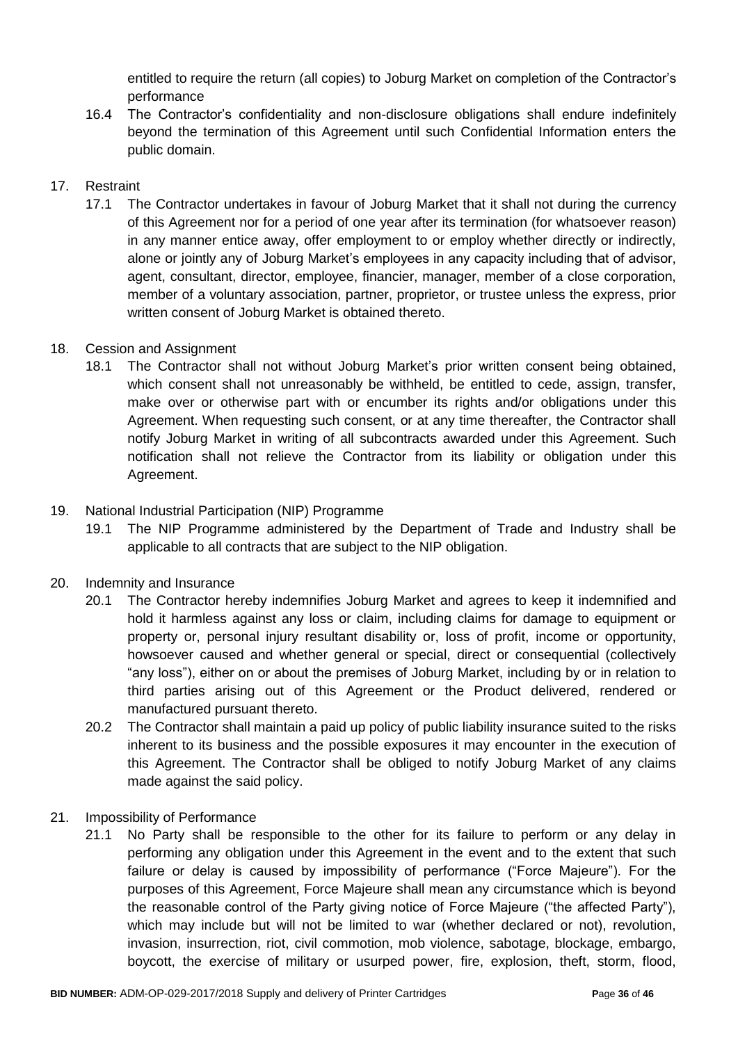entitled to require the return (all copies) to Joburg Market on completion of the Contractor's performance

16.4 The Contractor's confidentiality and non-disclosure obligations shall endure indefinitely beyond the termination of this Agreement until such Confidential Information enters the public domain.

# 17. Restraint

17.1 The Contractor undertakes in favour of Joburg Market that it shall not during the currency of this Agreement nor for a period of one year after its termination (for whatsoever reason) in any manner entice away, offer employment to or employ whether directly or indirectly, alone or jointly any of Joburg Market's employees in any capacity including that of advisor, agent, consultant, director, employee, financier, manager, member of a close corporation, member of a voluntary association, partner, proprietor, or trustee unless the express, prior written consent of Joburg Market is obtained thereto.

# 18. Cession and Assignment

18.1 The Contractor shall not without Joburg Market's prior written consent being obtained, which consent shall not unreasonably be withheld, be entitled to cede, assign, transfer, make over or otherwise part with or encumber its rights and/or obligations under this Agreement. When requesting such consent, or at any time thereafter, the Contractor shall notify Joburg Market in writing of all subcontracts awarded under this Agreement. Such notification shall not relieve the Contractor from its liability or obligation under this Agreement.

# 19. National Industrial Participation (NIP) Programme

19.1 The NIP Programme administered by the Department of Trade and Industry shall be applicable to all contracts that are subject to the NIP obligation.

# 20. Indemnity and Insurance

- 20.1 The Contractor hereby indemnifies Joburg Market and agrees to keep it indemnified and hold it harmless against any loss or claim, including claims for damage to equipment or property or, personal injury resultant disability or, loss of profit, income or opportunity, howsoever caused and whether general or special, direct or consequential (collectively "any loss"), either on or about the premises of Joburg Market, including by or in relation to third parties arising out of this Agreement or the Product delivered, rendered or manufactured pursuant thereto.
- 20.2 The Contractor shall maintain a paid up policy of public liability insurance suited to the risks inherent to its business and the possible exposures it may encounter in the execution of this Agreement. The Contractor shall be obliged to notify Joburg Market of any claims made against the said policy.
- 21. Impossibility of Performance
	- 21.1 No Party shall be responsible to the other for its failure to perform or any delay in performing any obligation under this Agreement in the event and to the extent that such failure or delay is caused by impossibility of performance ("Force Majeure"). For the purposes of this Agreement, Force Majeure shall mean any circumstance which is beyond the reasonable control of the Party giving notice of Force Majeure ("the affected Party"), which may include but will not be limited to war (whether declared or not), revolution, invasion, insurrection, riot, civil commotion, mob violence, sabotage, blockage, embargo, boycott, the exercise of military or usurped power, fire, explosion, theft, storm, flood,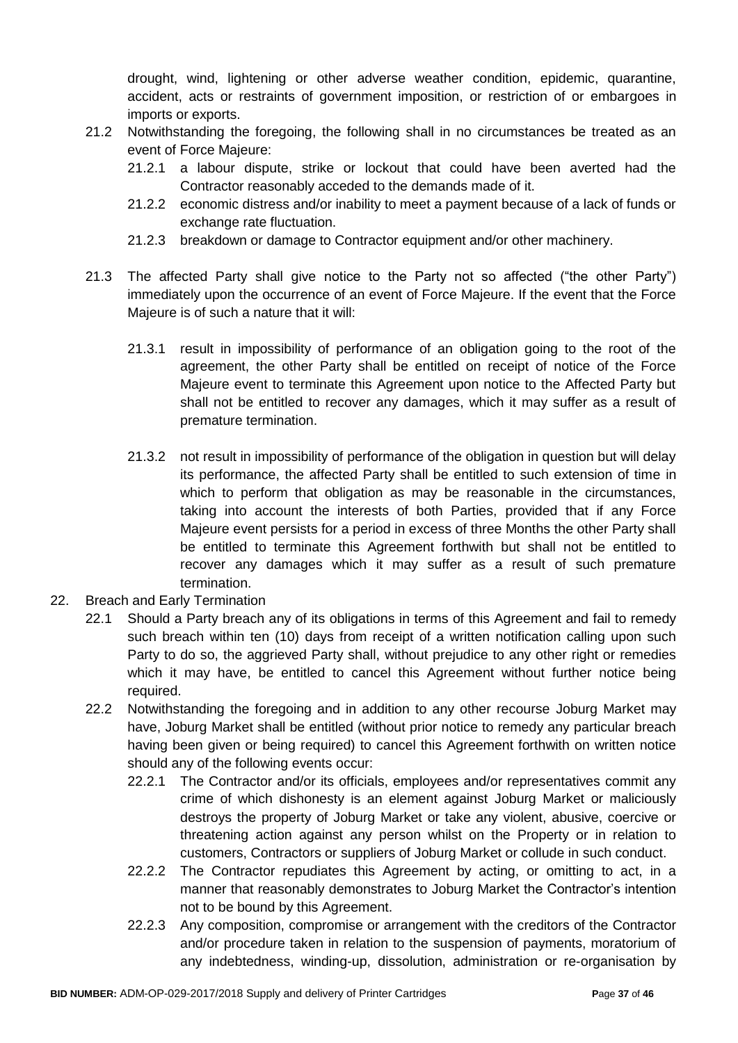drought, wind, lightening or other adverse weather condition, epidemic, quarantine, accident, acts or restraints of government imposition, or restriction of or embargoes in imports or exports.

- 21.2 Notwithstanding the foregoing, the following shall in no circumstances be treated as an event of Force Majeure:
	- 21.2.1 a labour dispute, strike or lockout that could have been averted had the Contractor reasonably acceded to the demands made of it.
	- 21.2.2 economic distress and/or inability to meet a payment because of a lack of funds or exchange rate fluctuation.
	- 21.2.3 breakdown or damage to Contractor equipment and/or other machinery.
- 21.3 The affected Party shall give notice to the Party not so affected ("the other Party") immediately upon the occurrence of an event of Force Majeure. If the event that the Force Majeure is of such a nature that it will:
	- 21.3.1 result in impossibility of performance of an obligation going to the root of the agreement, the other Party shall be entitled on receipt of notice of the Force Majeure event to terminate this Agreement upon notice to the Affected Party but shall not be entitled to recover any damages, which it may suffer as a result of premature termination.
	- 21.3.2 not result in impossibility of performance of the obligation in question but will delay its performance, the affected Party shall be entitled to such extension of time in which to perform that obligation as may be reasonable in the circumstances, taking into account the interests of both Parties, provided that if any Force Majeure event persists for a period in excess of three Months the other Party shall be entitled to terminate this Agreement forthwith but shall not be entitled to recover any damages which it may suffer as a result of such premature termination.
- 22. Breach and Early Termination
	- 22.1 Should a Party breach any of its obligations in terms of this Agreement and fail to remedy such breach within ten (10) days from receipt of a written notification calling upon such Party to do so, the aggrieved Party shall, without prejudice to any other right or remedies which it may have, be entitled to cancel this Agreement without further notice being required.
	- 22.2 Notwithstanding the foregoing and in addition to any other recourse Joburg Market may have, Joburg Market shall be entitled (without prior notice to remedy any particular breach having been given or being required) to cancel this Agreement forthwith on written notice should any of the following events occur:
		- 22.2.1 The Contractor and/or its officials, employees and/or representatives commit any crime of which dishonesty is an element against Joburg Market or maliciously destroys the property of Joburg Market or take any violent, abusive, coercive or threatening action against any person whilst on the Property or in relation to customers, Contractors or suppliers of Joburg Market or collude in such conduct.
		- 22.2.2 The Contractor repudiates this Agreement by acting, or omitting to act, in a manner that reasonably demonstrates to Joburg Market the Contractor's intention not to be bound by this Agreement.
		- 22.2.3 Any composition, compromise or arrangement with the creditors of the Contractor and/or procedure taken in relation to the suspension of payments, moratorium of any indebtedness, winding-up, dissolution, administration or re-organisation by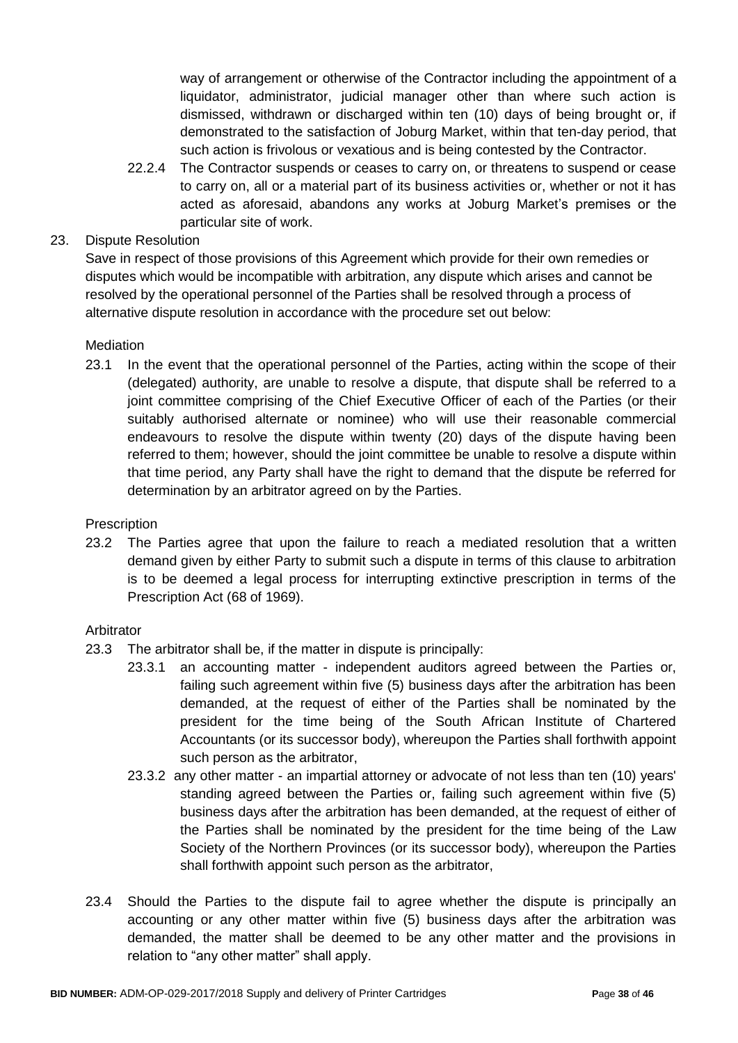way of arrangement or otherwise of the Contractor including the appointment of a liquidator, administrator, judicial manager other than where such action is dismissed, withdrawn or discharged within ten (10) days of being brought or, if demonstrated to the satisfaction of Joburg Market, within that ten-day period, that such action is frivolous or vexatious and is being contested by the Contractor.

22.2.4 The Contractor suspends or ceases to carry on, or threatens to suspend or cease to carry on, all or a material part of its business activities or, whether or not it has acted as aforesaid, abandons any works at Joburg Market's premises or the particular site of work.

# 23. Dispute Resolution

Save in respect of those provisions of this Agreement which provide for their own remedies or disputes which would be incompatible with arbitration, any dispute which arises and cannot be resolved by the operational personnel of the Parties shall be resolved through a process of alternative dispute resolution in accordance with the procedure set out below:

### **Mediation**

23.1 In the event that the operational personnel of the Parties, acting within the scope of their (delegated) authority, are unable to resolve a dispute, that dispute shall be referred to a joint committee comprising of the Chief Executive Officer of each of the Parties (or their suitably authorised alternate or nominee) who will use their reasonable commercial endeavours to resolve the dispute within twenty (20) days of the dispute having been referred to them; however, should the joint committee be unable to resolve a dispute within that time period, any Party shall have the right to demand that the dispute be referred for determination by an arbitrator agreed on by the Parties.

### **Prescription**

23.2 The Parties agree that upon the failure to reach a mediated resolution that a written demand given by either Party to submit such a dispute in terms of this clause to arbitration is to be deemed a legal process for interrupting extinctive prescription in terms of the Prescription Act (68 of 1969).

### Arbitrator

- 23.3 The arbitrator shall be, if the matter in dispute is principally:
	- 23.3.1 an accounting matter independent auditors agreed between the Parties or, failing such agreement within five (5) business days after the arbitration has been demanded, at the request of either of the Parties shall be nominated by the president for the time being of the South African Institute of Chartered Accountants (or its successor body), whereupon the Parties shall forthwith appoint such person as the arbitrator,
	- 23.3.2 any other matter an impartial attorney or advocate of not less than ten (10) years' standing agreed between the Parties or, failing such agreement within five (5) business days after the arbitration has been demanded, at the request of either of the Parties shall be nominated by the president for the time being of the Law Society of the Northern Provinces (or its successor body), whereupon the Parties shall forthwith appoint such person as the arbitrator,
- 23.4 Should the Parties to the dispute fail to agree whether the dispute is principally an accounting or any other matter within five (5) business days after the arbitration was demanded, the matter shall be deemed to be any other matter and the provisions in relation to "any other matter" shall apply.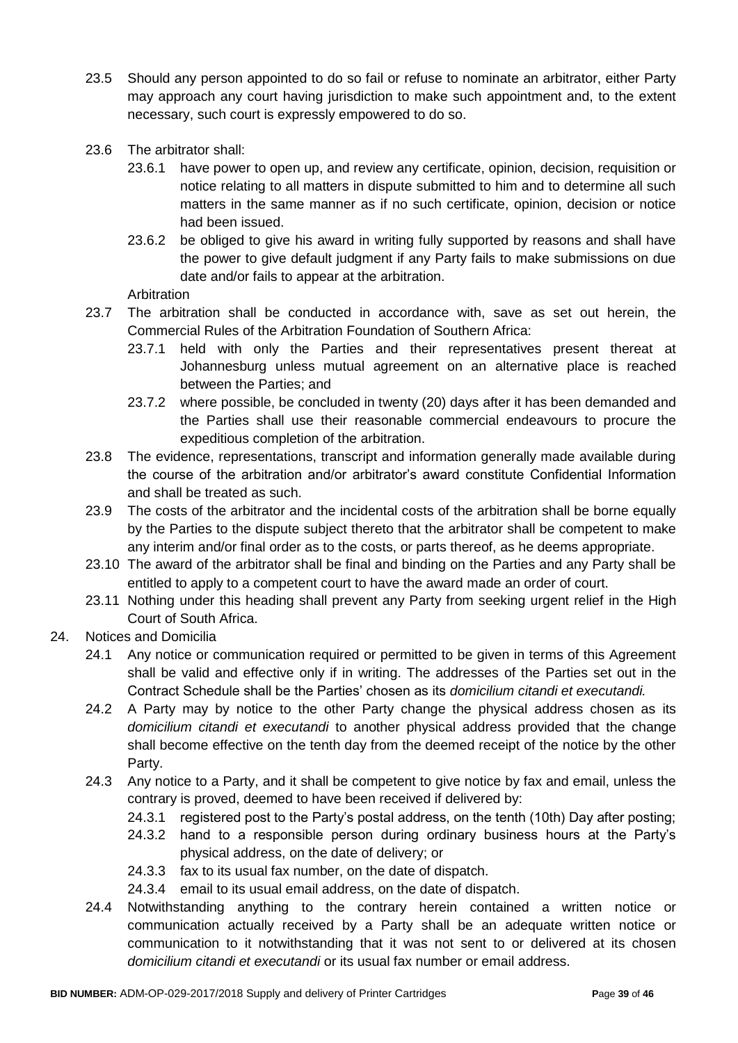- 23.5 Should any person appointed to do so fail or refuse to nominate an arbitrator, either Party may approach any court having jurisdiction to make such appointment and, to the extent necessary, such court is expressly empowered to do so.
- 23.6 The arbitrator shall:
	- 23.6.1 have power to open up, and review any certificate, opinion, decision, requisition or notice relating to all matters in dispute submitted to him and to determine all such matters in the same manner as if no such certificate, opinion, decision or notice had been issued.
	- 23.6.2 be obliged to give his award in writing fully supported by reasons and shall have the power to give default judgment if any Party fails to make submissions on due date and/or fails to appear at the arbitration.

Arbitration

- 23.7 The arbitration shall be conducted in accordance with, save as set out herein, the Commercial Rules of the Arbitration Foundation of Southern Africa:
	- 23.7.1 held with only the Parties and their representatives present thereat at Johannesburg unless mutual agreement on an alternative place is reached between the Parties; and
	- 23.7.2 where possible, be concluded in twenty (20) days after it has been demanded and the Parties shall use their reasonable commercial endeavours to procure the expeditious completion of the arbitration.
- 23.8 The evidence, representations, transcript and information generally made available during the course of the arbitration and/or arbitrator's award constitute Confidential Information and shall be treated as such.
- 23.9 The costs of the arbitrator and the incidental costs of the arbitration shall be borne equally by the Parties to the dispute subject thereto that the arbitrator shall be competent to make any interim and/or final order as to the costs, or parts thereof, as he deems appropriate.
- 23.10 The award of the arbitrator shall be final and binding on the Parties and any Party shall be entitled to apply to a competent court to have the award made an order of court.
- 23.11 Nothing under this heading shall prevent any Party from seeking urgent relief in the High Court of South Africa.
- 24. Notices and Domicilia
	- 24.1 Any notice or communication required or permitted to be given in terms of this Agreement shall be valid and effective only if in writing. The addresses of the Parties set out in the Contract Schedule shall be the Parties' chosen as its *domicilium citandi et executandi.*
	- 24.2 A Party may by notice to the other Party change the physical address chosen as its *domicilium citandi et executandi* to another physical address provided that the change shall become effective on the tenth day from the deemed receipt of the notice by the other Party.
	- 24.3 Any notice to a Party, and it shall be competent to give notice by fax and email, unless the contrary is proved, deemed to have been received if delivered by:
		- 24.3.1 registered post to the Party's postal address, on the tenth (10th) Day after posting;
		- 24.3.2 hand to a responsible person during ordinary business hours at the Party's physical address, on the date of delivery; or
		- 24.3.3 fax to its usual fax number, on the date of dispatch.
		- 24.3.4 email to its usual email address, on the date of dispatch.
	- 24.4 Notwithstanding anything to the contrary herein contained a written notice or communication actually received by a Party shall be an adequate written notice or communication to it notwithstanding that it was not sent to or delivered at its chosen *domicilium citandi et executandi* or its usual fax number or email address.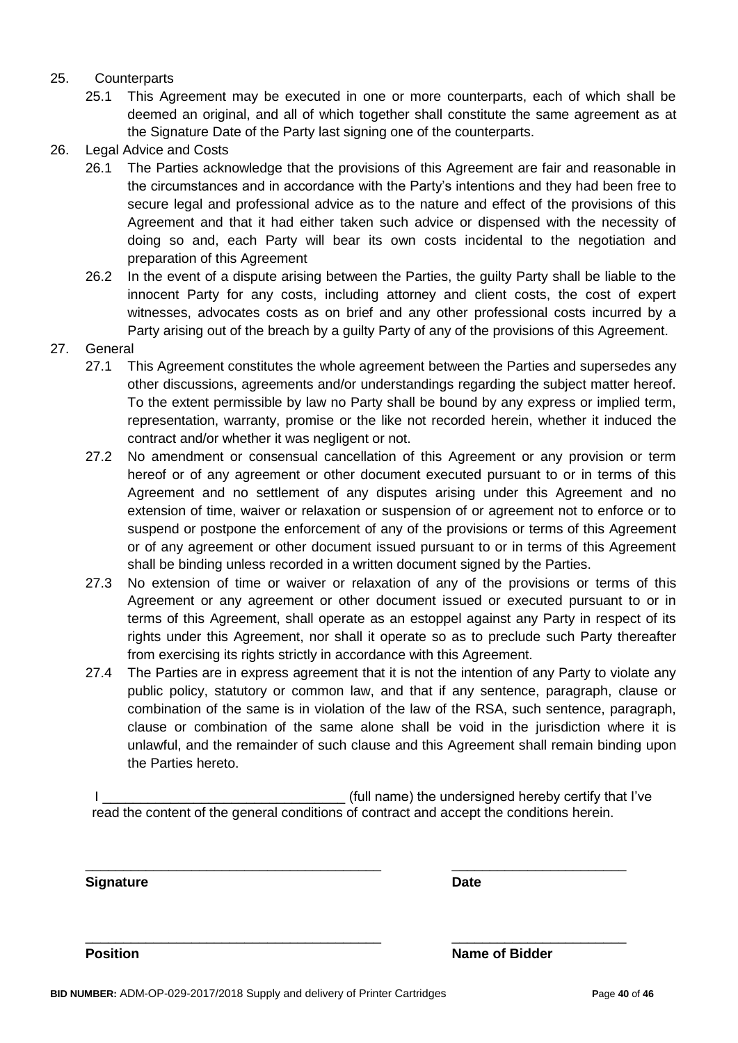### 25. Counterparts

- 25.1 This Agreement may be executed in one or more counterparts, each of which shall be deemed an original, and all of which together shall constitute the same agreement as at the Signature Date of the Party last signing one of the counterparts.
- 26. Legal Advice and Costs
	- 26.1 The Parties acknowledge that the provisions of this Agreement are fair and reasonable in the circumstances and in accordance with the Party's intentions and they had been free to secure legal and professional advice as to the nature and effect of the provisions of this Agreement and that it had either taken such advice or dispensed with the necessity of doing so and, each Party will bear its own costs incidental to the negotiation and preparation of this Agreement
	- 26.2 In the event of a dispute arising between the Parties, the guilty Party shall be liable to the innocent Party for any costs, including attorney and client costs, the cost of expert witnesses, advocates costs as on brief and any other professional costs incurred by a Party arising out of the breach by a guilty Party of any of the provisions of this Agreement.
- 27. General
	- 27.1 This Agreement constitutes the whole agreement between the Parties and supersedes any other discussions, agreements and/or understandings regarding the subject matter hereof. To the extent permissible by law no Party shall be bound by any express or implied term, representation, warranty, promise or the like not recorded herein, whether it induced the contract and/or whether it was negligent or not.
	- 27.2 No amendment or consensual cancellation of this Agreement or any provision or term hereof or of any agreement or other document executed pursuant to or in terms of this Agreement and no settlement of any disputes arising under this Agreement and no extension of time, waiver or relaxation or suspension of or agreement not to enforce or to suspend or postpone the enforcement of any of the provisions or terms of this Agreement or of any agreement or other document issued pursuant to or in terms of this Agreement shall be binding unless recorded in a written document signed by the Parties.
	- 27.3 No extension of time or waiver or relaxation of any of the provisions or terms of this Agreement or any agreement or other document issued or executed pursuant to or in terms of this Agreement, shall operate as an estoppel against any Party in respect of its rights under this Agreement, nor shall it operate so as to preclude such Party thereafter from exercising its rights strictly in accordance with this Agreement.
	- 27.4 The Parties are in express agreement that it is not the intention of any Party to violate any public policy, statutory or common law, and that if any sentence, paragraph, clause or combination of the same is in violation of the law of the RSA, such sentence, paragraph, clause or combination of the same alone shall be void in the jurisdiction where it is unlawful, and the remainder of such clause and this Agreement shall remain binding upon the Parties hereto.

I Letterman the state of the undersigned hereby certify that I've read the content of the general conditions of contract and accept the conditions herein.

\_\_\_\_\_\_\_\_\_\_\_\_\_\_\_\_\_\_\_\_\_\_\_\_\_\_\_\_\_\_\_\_\_\_\_\_\_\_\_ \_\_\_\_\_\_\_\_\_\_\_\_\_\_\_\_\_\_\_\_\_\_\_

\_\_\_\_\_\_\_\_\_\_\_\_\_\_\_\_\_\_\_\_\_\_\_\_\_\_\_\_\_\_\_\_\_\_\_\_\_\_\_ \_\_\_\_\_\_\_\_\_\_\_\_\_\_\_\_\_\_\_\_\_\_\_

**Signature Date**

**Position** Name of Bidder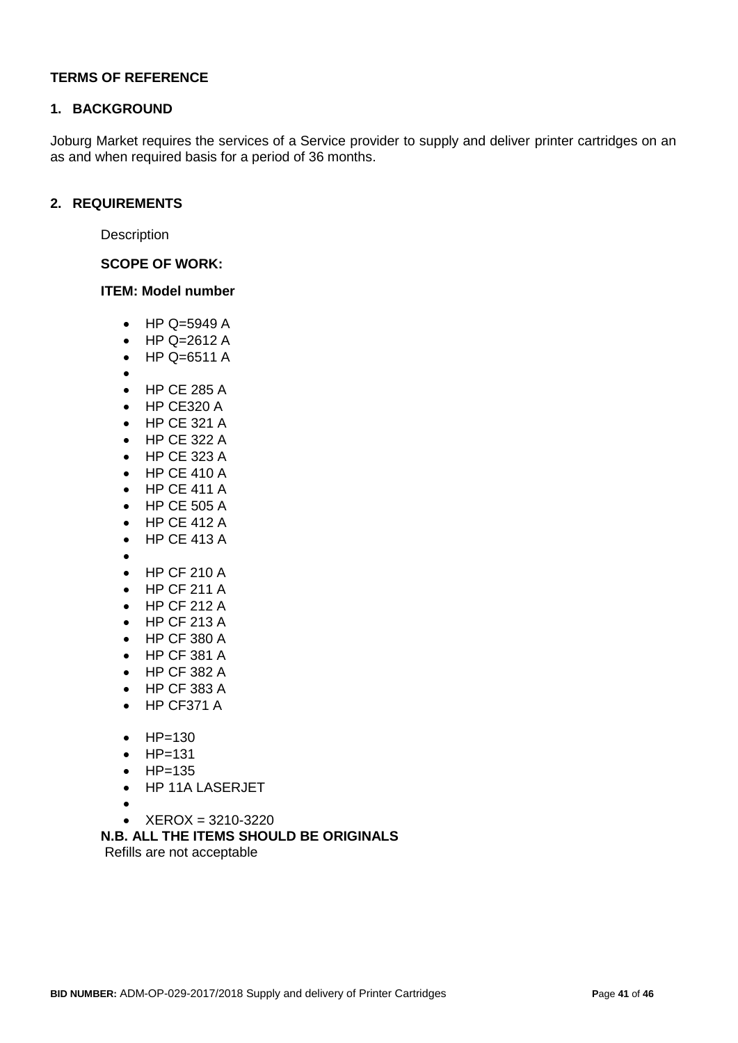### **TERMS OF REFERENCE**

#### **1. BACKGROUND**

Joburg Market requires the services of a Service provider to supply and deliver printer cartridges on an as and when required basis for a period of 36 months.

#### **2. REQUIREMENTS**

**Description** 

**SCOPE OF WORK:**

#### **ITEM: Model number**

- $\bullet$  HP Q=5949 A
- HP Q=2612 A
- HP Q=6511 A
- $\bullet$
- HP CF 285 A
- HP CE320 A
- HP CE 321 A
- HP CE 322 A
- HP CE 323 A
- HP CE 410 A
- HP CE 411 A
- HP CE 505 A
- HP CE 412 A
- HP CE 413 A
- $\bullet$ 
	- HP CF 210 A
- HP CF 211 A
- HP CF 212 A
- $\bullet$  HP CF 213 A
- HP CF 380 A
- HP CF 381 A
- HP CF 382 A
- HP CF 383 A
- HP CF371 A
- $HP = 130$
- $\bullet$  HP=131
- $\bullet$  HP=135
- HP 11A LASERJET
- $\bullet$
- XEROX = 3210-3220

# **N.B. ALL THE ITEMS SHOULD BE ORIGINALS**

Refills are not acceptable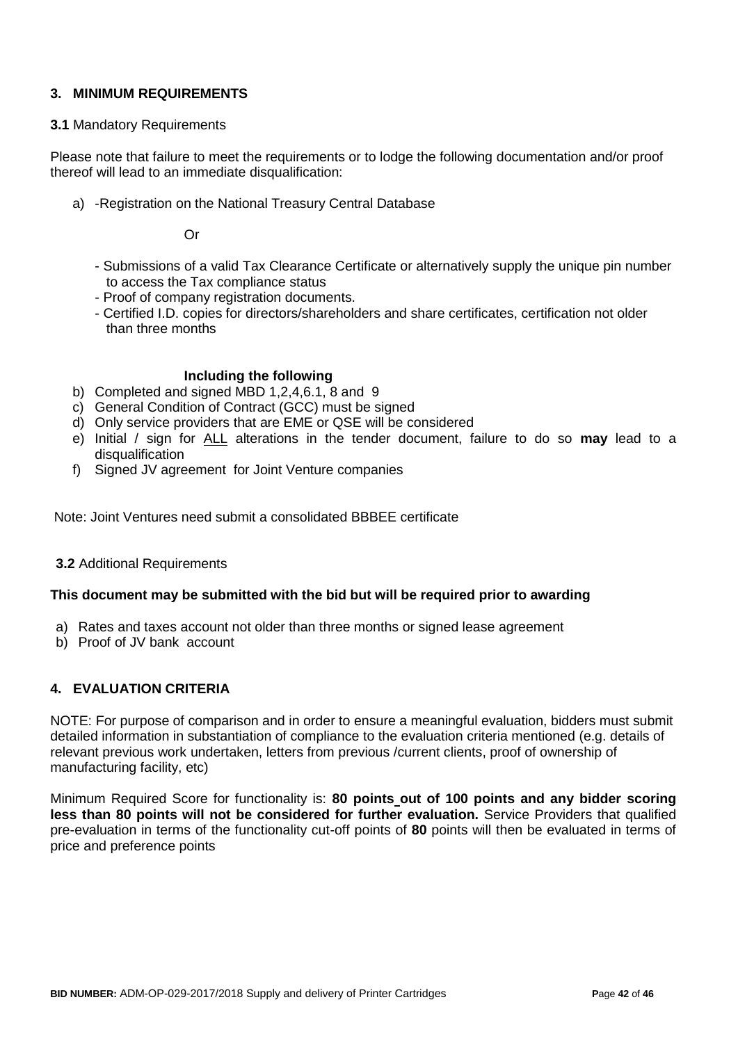# **3. MINIMUM REQUIREMENTS**

#### **3.1** Mandatory Requirements

Please note that failure to meet the requirements or to lodge the following documentation and/or proof thereof will lead to an immediate disqualification:

a) -Registration on the National Treasury Central Database

Or

- Submissions of a valid Tax Clearance Certificate or alternatively supply the unique pin number to access the Tax compliance status
- Proof of company registration documents.
- Certified I.D. copies for directors/shareholders and share certificates, certification not older than three months

#### **Including the following**

- b) Completed and signed MBD 1,2,4,6.1, 8 and 9
- c) General Condition of Contract (GCC) must be signed
- d) Only service providers that are EME or QSE will be considered
- e) Initial / sign for ALL alterations in the tender document, failure to do so **may** lead to a disqualification
- f) Signed JV agreement for Joint Venture companies

Note: Joint Ventures need submit a consolidated BBBEE certificate

#### **3.2** Additional Requirements

#### **This document may be submitted with the bid but will be required prior to awarding**

- a) Rates and taxes account not older than three months or signed lease agreement
- b) Proof of JV bank account

### **4. EVALUATION CRITERIA**

NOTE: For purpose of comparison and in order to ensure a meaningful evaluation, bidders must submit detailed information in substantiation of compliance to the evaluation criteria mentioned (e.g. details of relevant previous work undertaken, letters from previous /current clients, proof of ownership of manufacturing facility, etc)

Minimum Required Score for functionality is: **80 points out of 100 points and any bidder scoring less than 80 points will not be considered for further evaluation.** Service Providers that qualified pre-evaluation in terms of the functionality cut-off points of **80** points will then be evaluated in terms of price and preference points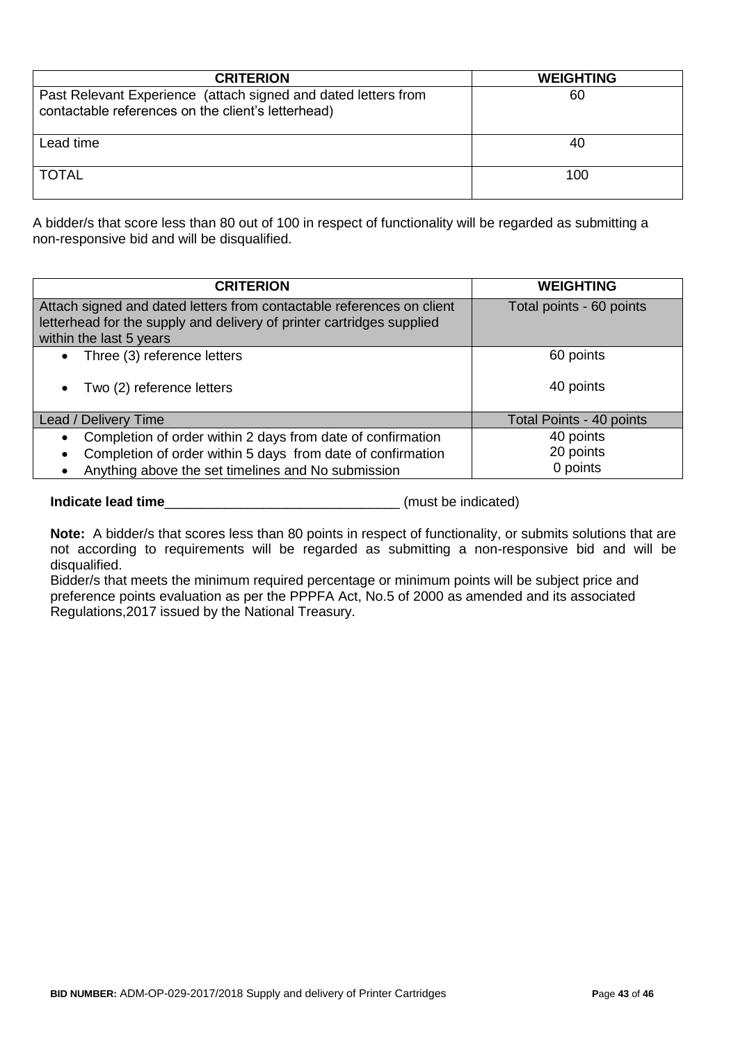| <b>CRITERION</b>                                                                                                     | <b>WEIGHTING</b> |
|----------------------------------------------------------------------------------------------------------------------|------------------|
| Past Relevant Experience (attach signed and dated letters from<br>contactable references on the client's letterhead) | 60               |
| Lead time                                                                                                            | 40               |
| <b>TOTAL</b>                                                                                                         | 100              |

A bidder/s that score less than 80 out of 100 in respect of functionality will be regarded as submitting a non-responsive bid and will be disqualified.

| <b>CRITERION</b>                                                                                                                                                                                           | <b>WEIGHTING</b>                   |
|------------------------------------------------------------------------------------------------------------------------------------------------------------------------------------------------------------|------------------------------------|
| Attach signed and dated letters from contactable references on client<br>letterhead for the supply and delivery of printer cartridges supplied<br>within the last 5 years                                  | Total points - 60 points           |
| Three (3) reference letters<br>$\bullet$                                                                                                                                                                   | 60 points                          |
| Two (2) reference letters<br>$\bullet$                                                                                                                                                                     | 40 points                          |
| Lead / Delivery Time                                                                                                                                                                                       | Total Points - 40 points           |
| Completion of order within 2 days from date of confirmation<br>$\bullet$<br>Completion of order within 5 days from date of confirmation<br>$\bullet$<br>Anything above the set timelines and No submission | 40 points<br>20 points<br>0 points |

**Indicate lead time**\_\_\_\_\_\_\_\_\_\_\_\_\_\_\_\_\_\_\_\_\_\_\_\_\_\_\_\_\_\_\_ (must be indicated)

**Note:** A bidder/s that scores less than 80 points in respect of functionality, or submits solutions that are not according to requirements will be regarded as submitting a non-responsive bid and will be disqualified.

Bidder/s that meets the minimum required percentage or minimum points will be subject price and preference points evaluation as per the PPPFA Act, No.5 of 2000 as amended and its associated Regulations,2017 issued by the National Treasury.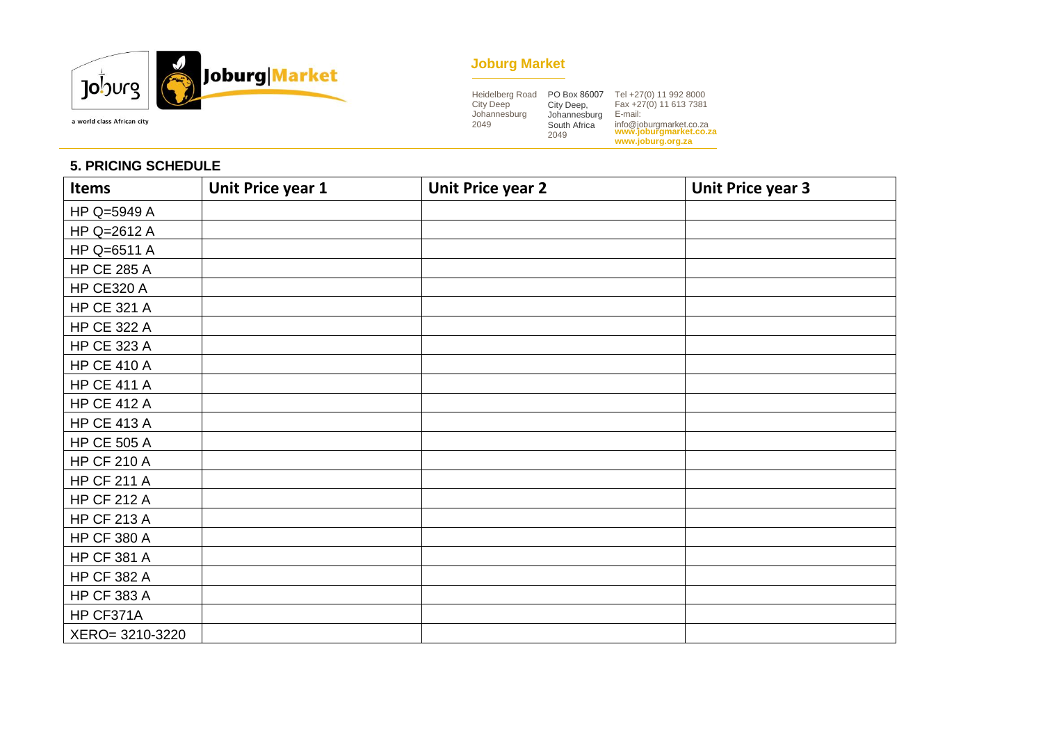

# **Joburg Market**

| Heidelberg Road  | PO Box 86007 | Tel +27(0) 11 992 8000                            |
|------------------|--------------|---------------------------------------------------|
| <b>City Deep</b> | City Deep,   | Fax +27(0) 11 613 7381                            |
| Johannesburg     | Johannesburg | E-mail:                                           |
| 2049             | South Africa | info@joburgmarket.co.za<br>www.joburgmarket.co.za |
|                  | 2049         |                                                   |
|                  |              | www.joburg.org.za                                 |

# **5. PRICING SCHEDULE**

| <b>Items</b>       | Unit Price year 1 | <b>Unit Price year 2</b> | <b>Unit Price year 3</b> |
|--------------------|-------------------|--------------------------|--------------------------|
| HP Q=5949 A        |                   |                          |                          |
| HP Q=2612 A        |                   |                          |                          |
| HP Q=6511 A        |                   |                          |                          |
| <b>HP CE 285 A</b> |                   |                          |                          |
| <b>HP CE320 A</b>  |                   |                          |                          |
| <b>HP CE 321 A</b> |                   |                          |                          |
| <b>HP CE 322 A</b> |                   |                          |                          |
| <b>HP CE 323 A</b> |                   |                          |                          |
| <b>HP CE 410 A</b> |                   |                          |                          |
| <b>HP CE 411 A</b> |                   |                          |                          |
| <b>HP CE 412 A</b> |                   |                          |                          |
| <b>HP CE 413 A</b> |                   |                          |                          |
| <b>HP CE 505 A</b> |                   |                          |                          |
| <b>HP CF 210 A</b> |                   |                          |                          |
| <b>HP CF 211 A</b> |                   |                          |                          |
| <b>HP CF 212 A</b> |                   |                          |                          |
| <b>HP CF 213 A</b> |                   |                          |                          |
| <b>HP CF 380 A</b> |                   |                          |                          |
| <b>HP CF 381 A</b> |                   |                          |                          |
| <b>HP CF 382 A</b> |                   |                          |                          |
| <b>HP CF 383 A</b> |                   |                          |                          |
| HP CF371A          |                   |                          |                          |
| XERO= 3210-3220    |                   |                          |                          |

a world class African city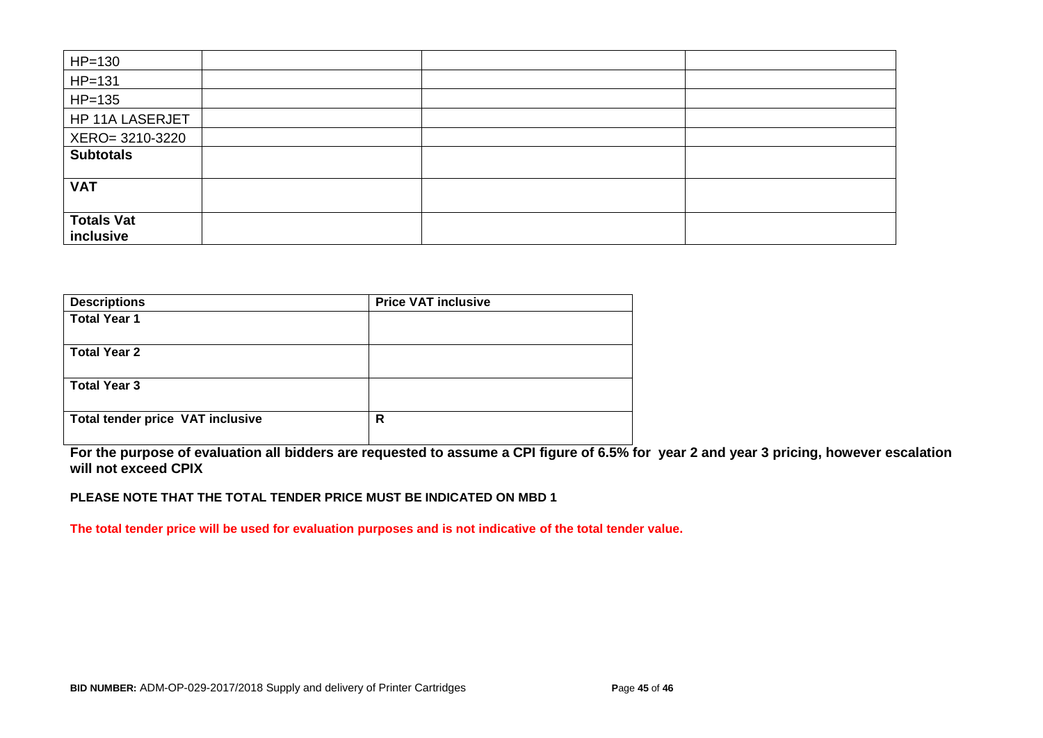| $HP=130$          |  |  |
|-------------------|--|--|
| $HP=131$          |  |  |
| $HP=135$          |  |  |
| HP 11A LASERJET   |  |  |
| XERO= 3210-3220   |  |  |
| <b>Subtotals</b>  |  |  |
|                   |  |  |
| <b>VAT</b>        |  |  |
|                   |  |  |
| <b>Totals Vat</b> |  |  |
| inclusive         |  |  |

| <b>Descriptions</b>                     | <b>Price VAT inclusive</b> |  |
|-----------------------------------------|----------------------------|--|
| <b>Total Year 1</b>                     |                            |  |
| <b>Total Year 2</b>                     |                            |  |
| <b>Total Year 3</b>                     |                            |  |
| <b>Total tender price VAT inclusive</b> | R                          |  |

**For the purpose of evaluation all bidders are requested to assume a CPI figure of 6.5% for year 2 and year 3 pricing, however escalation will not exceed CPIX**

**PLEASE NOTE THAT THE TOTAL TENDER PRICE MUST BE INDICATED ON MBD 1**

**The total tender price will be used for evaluation purposes and is not indicative of the total tender value.**